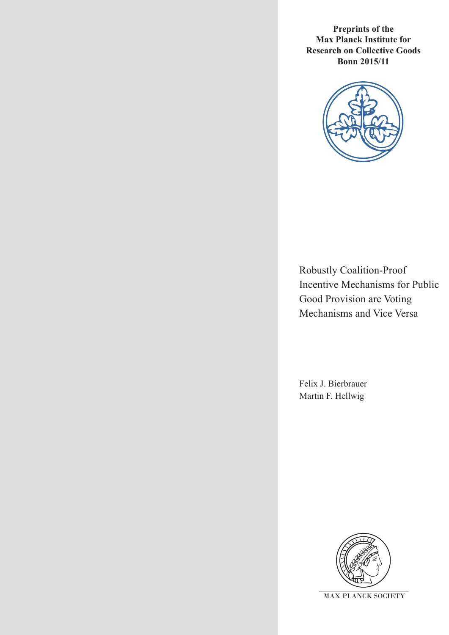**Preprints of the Max Planck Institute for Research on Collective Goods Bonn 2015/11**



Robustly Coalition-Proof Incentive Mechanisms for Public Good Provision are Voting Mechanisms and Vice Versa

Felix J. Bierbrauer Martin F. Hellwig

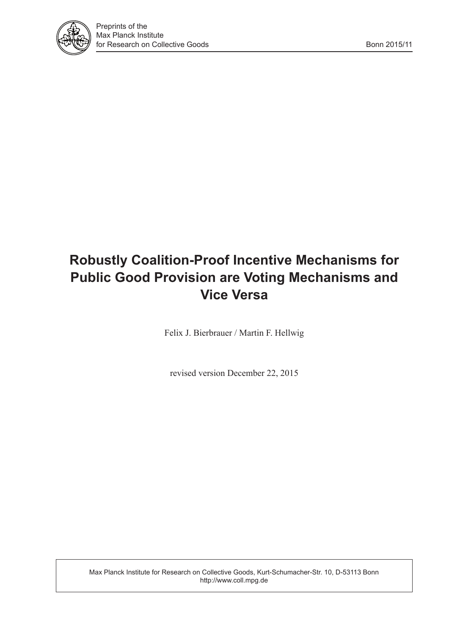

# **Robustly Coalition-Proof Incentive Mechanisms for Public Good Provision are Voting Mechanisms and Vice Versa**

Felix J. Bierbrauer / Martin F. Hellwig

revised version December 22, 2015

Max Planck Institute for Research on Collective Goods, Kurt-Schumacher-Str. 10, D-53113 Bonn http://www.coll.mpg.de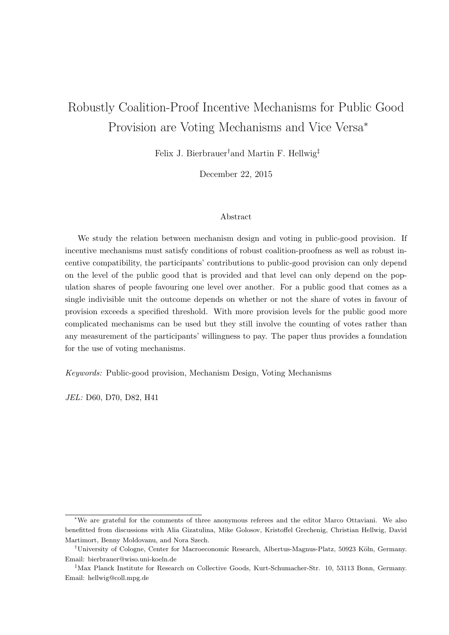# Robustly Coalition-Proof Incentive Mechanisms for Public Good Provision are Voting Mechanisms and Vice Versa<sup>∗</sup>

Felix J. Bierbrauer†and Martin F. Hellwig‡

December 22, 2015

#### Abstract

We study the relation between mechanism design and voting in public-good provision. If incentive mechanisms must satisfy conditions of robust coalition-proofness as well as robust incentive compatibility, the participants' contributions to public-good provision can only depend on the level of the public good that is provided and that level can only depend on the population shares of people favouring one level over another. For a public good that comes as a single indivisible unit the outcome depends on whether or not the share of votes in favour of provision exceeds a specified threshold. With more provision levels for the public good more complicated mechanisms can be used but they still involve the counting of votes rather than any measurement of the participants' willingness to pay. The paper thus provides a foundation for the use of voting mechanisms.

Keywords: Public-good provision, Mechanism Design, Voting Mechanisms

JEL: D60, D70, D82, H41

<sup>∗</sup>We are grateful for the comments of three anonymous referees and the editor Marco Ottaviani. We also benefitted from discussions with Alia Gizatulina, Mike Golosov, Kristoffel Grechenig, Christian Hellwig, David Martimort, Benny Moldovanu, and Nora Szech.

<sup>&</sup>lt;sup>†</sup>University of Cologne, Center for Macroeconomic Research, Albertus-Magnus-Platz, 50923 Köln, Germany. Email: bierbrauer@wiso.uni-koeln.de

<sup>‡</sup>Max Planck Institute for Research on Collective Goods, Kurt-Schumacher-Str. 10, 53113 Bonn, Germany. Email: hellwig@coll.mpg.de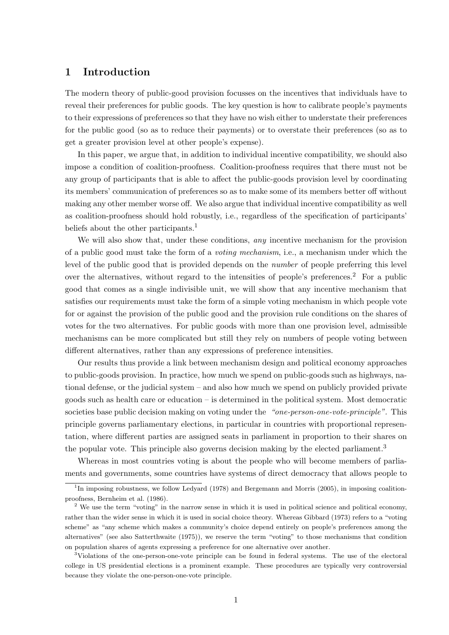#### 1 Introduction

The modern theory of public-good provision focusses on the incentives that individuals have to reveal their preferences for public goods. The key question is how to calibrate people's payments to their expressions of preferences so that they have no wish either to understate their preferences for the public good (so as to reduce their payments) or to overstate their preferences (so as to get a greater provision level at other people's expense).

In this paper, we argue that, in addition to individual incentive compatibility, we should also impose a condition of coalition-proofness. Coalition-proofness requires that there must not be any group of participants that is able to affect the public-goods provision level by coordinating its members' communication of preferences so as to make some of its members better off without making any other member worse off. We also argue that individual incentive compatibility as well as coalition-proofness should hold robustly, i.e., regardless of the specification of participants' beliefs about the other participants.<sup>1</sup>

We will also show that, under these conditions, any incentive mechanism for the provision of a public good must take the form of a voting mechanism, i.e., a mechanism under which the level of the public good that is provided depends on the number of people preferring this level over the alternatives, without regard to the intensities of people's preferences.<sup>2</sup> For a public good that comes as a single indivisible unit, we will show that any incentive mechanism that satisfies our requirements must take the form of a simple voting mechanism in which people vote for or against the provision of the public good and the provision rule conditions on the shares of votes for the two alternatives. For public goods with more than one provision level, admissible mechanisms can be more complicated but still they rely on numbers of people voting between different alternatives, rather than any expressions of preference intensities.

Our results thus provide a link between mechanism design and political economy approaches to public-goods provision. In practice, how much we spend on public-goods such as highways, national defense, or the judicial system – and also how much we spend on publicly provided private goods such as health care or education – is determined in the political system. Most democratic societies base public decision making on voting under the "one-person-one-vote-principle". This principle governs parliamentary elections, in particular in countries with proportional representation, where different parties are assigned seats in parliament in proportion to their shares on the popular vote. This principle also governs decision making by the elected parliament.<sup>3</sup>

Whereas in most countries voting is about the people who will become members of parliaments and governments, some countries have systems of direct democracy that allows people to

<sup>&</sup>lt;sup>1</sup>In imposing robustness, we follow Ledyard (1978) and Bergemann and Morris (2005), in imposing coalitionproofness, Bernheim et al. (1986).

<sup>&</sup>lt;sup>2</sup> We use the term "voting" in the narrow sense in which it is used in political science and political economy, rather than the wider sense in which it is used in social choice theory. Whereas Gibbard (1973) refers to a "voting scheme" as "any scheme which makes a community's choice depend entirely on people's preferences among the alternatives" (see also Satterthwaite (1975)), we reserve the term "voting" to those mechanisms that condition on population shares of agents expressing a preference for one alternative over another.

<sup>3</sup>Violations of the one-person-one-vote principle can be found in federal systems. The use of the electoral college in US presidential elections is a prominent example. These procedures are typically very controversial because they violate the one-person-one-vote principle.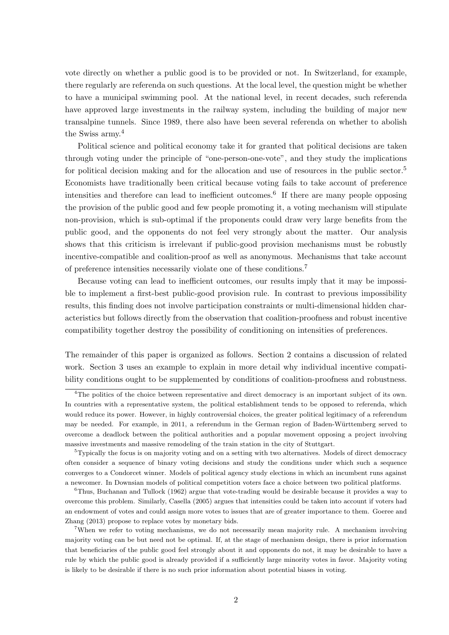vote directly on whether a public good is to be provided or not. In Switzerland, for example, there regularly are referenda on such questions. At the local level, the question might be whether to have a municipal swimming pool. At the national level, in recent decades, such referenda have approved large investments in the railway system, including the building of major new transalpine tunnels. Since 1989, there also have been several referenda on whether to abolish the Swiss army.<sup>4</sup>

Political science and political economy take it for granted that political decisions are taken through voting under the principle of "one-person-one-vote", and they study the implications for political decision making and for the allocation and use of resources in the public sector.<sup>5</sup> Economists have traditionally been critical because voting fails to take account of preference intensities and therefore can lead to inefficient outcomes.<sup>6</sup> If there are many people opposing the provision of the public good and few people promoting it, a voting mechanism will stipulate non-provision, which is sub-optimal if the proponents could draw very large benefits from the public good, and the opponents do not feel very strongly about the matter. Our analysis shows that this criticism is irrelevant if public-good provision mechanisms must be robustly incentive-compatible and coalition-proof as well as anonymous. Mechanisms that take account of preference intensities necessarily violate one of these conditions.<sup>7</sup>

Because voting can lead to inefficient outcomes, our results imply that it may be impossible to implement a first-best public-good provision rule. In contrast to previous impossibility results, this finding does not involve participation constraints or multi-dimensional hidden characteristics but follows directly from the observation that coalition-proofness and robust incentive compatibility together destroy the possibility of conditioning on intensities of preferences.

The remainder of this paper is organized as follows. Section 2 contains a discussion of related work. Section 3 uses an example to explain in more detail why individual incentive compatibility conditions ought to be supplemented by conditions of coalition-proofness and robustness.

<sup>&</sup>lt;sup>4</sup>The politics of the choice between representative and direct democracy is an important subject of its own. In countries with a representative system, the political establishment tends to be opposed to referenda, which would reduce its power. However, in highly controversial choices, the greater political legitimacy of a referendum may be needed. For example, in 2011, a referendum in the German region of Baden-Württemberg served to overcome a deadlock between the political authorities and a popular movement opposing a project involving massive investments and massive remodeling of the train station in the city of Stuttgart.

 $5T$ ypically the focus is on majority voting and on a setting with two alternatives. Models of direct democracy often consider a sequence of binary voting decisions and study the conditions under which such a sequence converges to a Condorcet winner. Models of political agency study elections in which an incumbent runs against a newcomer. In Downsian models of political competition voters face a choice between two political platforms.

 $6$ Thus, Buchanan and Tullock (1962) argue that vote-trading would be desirable because it provides a way to overcome this problem. Similarly, Casella (2005) argues that intensities could be taken into account if voters had an endowment of votes and could assign more votes to issues that are of greater importance to them. Goeree and Zhang (2013) propose to replace votes by monetary bids.

<sup>7</sup>When we refer to voting mechanisms, we do not necessarily mean majority rule. A mechanism involving majority voting can be but need not be optimal. If, at the stage of mechanism design, there is prior information that beneficiaries of the public good feel strongly about it and opponents do not, it may be desirable to have a rule by which the public good is already provided if a sufficiently large minority votes in favor. Majority voting is likely to be desirable if there is no such prior information about potential biases in voting.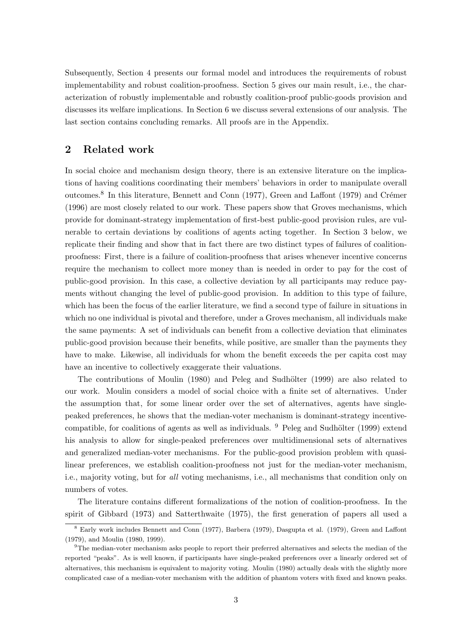Subsequently, Section 4 presents our formal model and introduces the requirements of robust implementability and robust coalition-proofness. Section 5 gives our main result, i.e., the characterization of robustly implementable and robustly coalition-proof public-goods provision and discusses its welfare implications. In Section 6 we discuss several extensions of our analysis. The last section contains concluding remarks. All proofs are in the Appendix.

### 2 Related work

In social choice and mechanism design theory, there is an extensive literature on the implications of having coalitions coordinating their members' behaviors in order to manipulate overall outcomes.<sup>8</sup> In this literature, Bennett and Conn (1977), Green and Laffont (1979) and Crémer (1996) are most closely related to our work. These papers show that Groves mechanisms, which provide for dominant-strategy implementation of first-best public-good provision rules, are vulnerable to certain deviations by coalitions of agents acting together. In Section 3 below, we replicate their finding and show that in fact there are two distinct types of failures of coalitionproofness: First, there is a failure of coalition-proofness that arises whenever incentive concerns require the mechanism to collect more money than is needed in order to pay for the cost of public-good provision. In this case, a collective deviation by all participants may reduce payments without changing the level of public-good provision. In addition to this type of failure, which has been the focus of the earlier literature, we find a second type of failure in situations in which no one individual is pivotal and therefore, under a Groves mechanism, all individuals make the same payments: A set of individuals can benefit from a collective deviation that eliminates public-good provision because their benefits, while positive, are smaller than the payments they have to make. Likewise, all individuals for whom the benefit exceeds the per capita cost may have an incentive to collectively exaggerate their valuations.

The contributions of Moulin (1980) and Peleg and Sudhölter (1999) are also related to our work. Moulin considers a model of social choice with a finite set of alternatives. Under the assumption that, for some linear order over the set of alternatives, agents have singlepeaked preferences, he shows that the median-voter mechanism is dominant-strategy incentivecompatible, for coalitions of agents as well as individuals.  $9$  Peleg and Sudhölter (1999) extend his analysis to allow for single-peaked preferences over multidimensional sets of alternatives and generalized median-voter mechanisms. For the public-good provision problem with quasilinear preferences, we establish coalition-proofness not just for the median-voter mechanism, i.e., majority voting, but for all voting mechanisms, i.e., all mechanisms that condition only on numbers of votes.

The literature contains different formalizations of the notion of coalition-proofness. In the spirit of Gibbard (1973) and Satterthwaite (1975), the first generation of papers all used a

<sup>8</sup> Early work includes Bennett and Conn (1977), Barbera (1979), Dasgupta et al. (1979), Green and Laffont (1979), and Moulin (1980, 1999).

<sup>9</sup>The median-voter mechanism asks people to report their preferred alternatives and selects the median of the reported "peaks". As is well known, if participants have single-peaked preferences over a linearly ordered set of alternatives, this mechanism is equivalent to majority voting. Moulin (1980) actually deals with the slightly more complicated case of a median-voter mechanism with the addition of phantom voters with fixed and known peaks.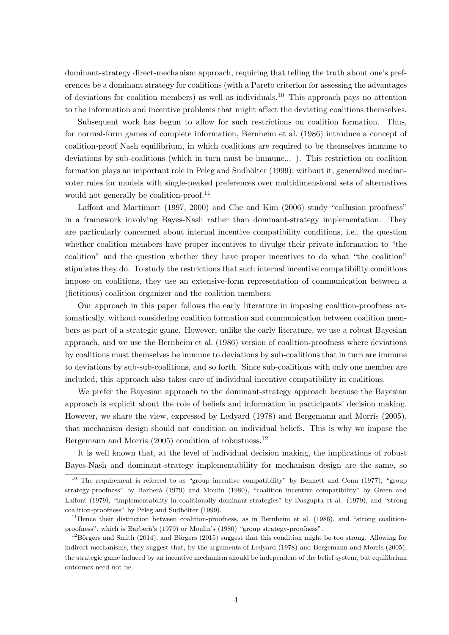dominant-strategy direct-mechanism approach, requiring that telling the truth about one's preferences be a dominant strategy for coalitions (with a Pareto criterion for assessing the advantages of deviations for coalition members) as well as individuals.<sup>10</sup> This approach pays no attention to the information and incentive problems that might affect the deviating coalitions themselves.

Subsequent work has begun to allow for such restrictions on coalition formation. Thus, for normal-form games of complete information, Bernheim et al. (1986) introduce a concept of coalition-proof Nash equilibrium, in which coalitions are required to be themselves immune to deviations by sub-coalitions (which in turn must be immune... ). This restriction on coalition formation plays an important role in Peleg and Sudhölter (1999); without it, generalized medianvoter rules for models with single-peaked preferences over multidimensional sets of alternatives would not generally be coalition-proof.<sup>11</sup>

Laffont and Martimort (1997, 2000) and Che and Kim (2006) study "collusion proofness" in a framework involving Bayes-Nash rather than dominant-strategy implementation. They are particularly concerned about internal incentive compatibility conditions, i.e., the question whether coalition members have proper incentives to divulge their private information to "the coalition" and the question whether they have proper incentives to do what "the coalition" stipulates they do. To study the restrictions that such internal incentive compatibility conditions impose on coalitions, they use an extensive-form representation of communication between a (fictitious) coalition organizer and the coalition members.

Our approach in this paper follows the early literature in imposing coalition-proofness axiomatically, without considering coalition formation and communication between coalition members as part of a strategic game. However, unlike the early literature, we use a robust Bayesian approach, and we use the Bernheim et al. (1986) version of coalition-proofness where deviations by coalitions must themselves be immune to deviations by sub-coalitions that in turn are immune to deviations by sub-sub-coalitions, and so forth. Since sub-coalitions with only one member are included, this approach also takes care of individual incentive compatibility in coalitions.

We prefer the Bayesian approach to the dominant-strategy approach because the Bayesian approach is explicit about the role of beliefs and information in participants' decision making. However, we share the view, expressed by Ledyard (1978) and Bergemann and Morris (2005), that mechanism design should not condition on individual beliefs. This is why we impose the Bergemann and Morris (2005) condition of robustness.<sup>12</sup>

It is well known that, at the level of individual decision making, the implications of robust Bayes-Nash and dominant-strategy implementability for mechanism design are the same, so

<sup>&</sup>lt;sup>10</sup> The requirement is referred to as "group incentive compatibility" by Bennett and Conn (1977), "group strategy-proofness" by Barberà (1979) and Moulin (1980), "coalition incentive compatibility" by Green and Laffont (1979), "implementability in coalitionally dominant-strategies" by Dasgupta et al. (1979), and "strong coalition-proofness" by Peleg and Sudhölter (1999).

 $11$ Hence their distinction between coalition-proofness, as in Bernheim et al. (1986), and "strong coalitionproofness", which is Barberà's (1979) or Moulin's (1980) "group strategy-proofness".

 $12$ Börgers and Smith (2014), and Börgers (2015) suggest that this condition might be too strong. Allowing for indirect mechanisms, they suggest that, by the arguments of Ledyard (1978) and Bergemann and Morris (2005), the strategic game induced by an incentive mechanism should be independent of the belief system, but equilibrium outcomes need not be.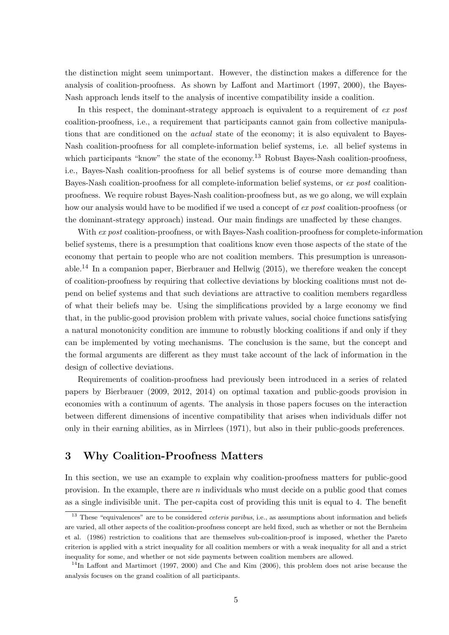the distinction might seem unimportant. However, the distinction makes a difference for the analysis of coalition-proofness. As shown by Laffont and Martimort (1997, 2000), the Bayes-Nash approach lends itself to the analysis of incentive compatibility inside a coalition.

In this respect, the dominant-strategy approach is equivalent to a requirement of ex post coalition-proofness, i.e., a requirement that participants cannot gain from collective manipulations that are conditioned on the *actual* state of the economy; it is also equivalent to Bayes-Nash coalition-proofness for all complete-information belief systems, i.e. all belief systems in which participants "know" the state of the economy.<sup>13</sup> Robust Bayes-Nash coalition-proofness, i.e., Bayes-Nash coalition-proofness for all belief systems is of course more demanding than Bayes-Nash coalition-proofness for all complete-information belief systems, or ex post coalitionproofness. We require robust Bayes-Nash coalition-proofness but, as we go along, we will explain how our analysis would have to be modified if we used a concept of ex post coalition-proofness (or the dominant-strategy approach) instead. Our main findings are unaffected by these changes.

With ex post coalition-proofness, or with Bayes-Nash coalition-proofness for complete-information belief systems, there is a presumption that coalitions know even those aspects of the state of the economy that pertain to people who are not coalition members. This presumption is unreasonable.<sup>14</sup> In a companion paper, Bierbrauer and Hellwig  $(2015)$ , we therefore weaken the concept of coalition-proofness by requiring that collective deviations by blocking coalitions must not depend on belief systems and that such deviations are attractive to coalition members regardless of what their beliefs may be. Using the simplifications provided by a large economy we find that, in the public-good provision problem with private values, social choice functions satisfying a natural monotonicity condition are immune to robustly blocking coalitions if and only if they can be implemented by voting mechanisms. The conclusion is the same, but the concept and the formal arguments are different as they must take account of the lack of information in the design of collective deviations.

Requirements of coalition-proofness had previously been introduced in a series of related papers by Bierbrauer (2009, 2012, 2014) on optimal taxation and public-goods provision in economies with a continuum of agents. The analysis in those papers focuses on the interaction between different dimensions of incentive compatibility that arises when individuals differ not only in their earning abilities, as in Mirrlees (1971), but also in their public-goods preferences.

#### 3 Why Coalition-Proofness Matters

In this section, we use an example to explain why coalition-proofness matters for public-good provision. In the example, there are  $n$  individuals who must decide on a public good that comes as a single indivisible unit. The per-capita cost of providing this unit is equal to 4. The benefit

<sup>&</sup>lt;sup>13</sup> These "equivalences" are to be considered *ceteris paribus*, i.e., as assumptions about information and beliefs are varied, all other aspects of the coalition-proofness concept are held fixed, such as whether or not the Bernheim et al. (1986) restriction to coalitions that are themselves sub-coalition-proof is imposed, whether the Pareto criterion is applied with a strict inequality for all coalition members or with a weak inequality for all and a strict inequality for some, and whether or not side payments between coalition members are allowed.

<sup>&</sup>lt;sup>14</sup>In Laffont and Martimort (1997, 2000) and Che and Kim (2006), this problem does not arise because the analysis focuses on the grand coalition of all participants.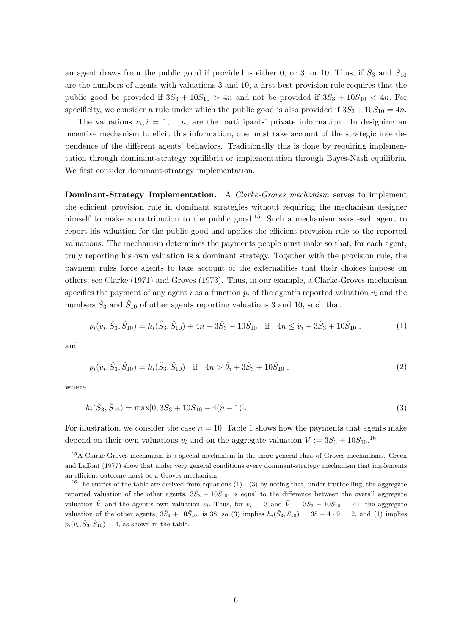an agent draws from the public good if provided is either 0, or 3, or 10. Thus, if  $S_3$  and  $S_{10}$ are the numbers of agents with valuations 3 and 10, a first-best provision rule requires that the public good be provided if  $3S_3 + 10S_{10} > 4n$  and not be provided if  $3S_3 + 10S_{10} < 4n$ . For specificity, we consider a rule under which the public good is also provided if  $3S_3 + 10S_{10} = 4n$ .

The valuations  $v_i, i = 1, ..., n$ , are the participants' private information. In designing an incentive mechanism to elicit this information, one must take account of the strategic interdependence of the different agents' behaviors. Traditionally this is done by requiring implementation through dominant-strategy equilibria or implementation through Bayes-Nash equilibria. We first consider dominant-strategy implementation.

Dominant-Strategy Implementation. A Clarke-Groves mechanism serves to implement the efficient provision rule in dominant strategies without requiring the mechanism designer himself to make a contribution to the public good.<sup>15</sup> Such a mechanism asks each agent to report his valuation for the public good and applies the efficient provision rule to the reported valuations. The mechanism determines the payments people must make so that, for each agent, truly reporting his own valuation is a dominant strategy. Together with the provision rule, the payment rules force agents to take account of the externalities that their choices impose on others; see Clarke (1971) and Groves (1973). Thus, in our example, a Clarke-Groves mechanism specifies the payment of any agent i as a function  $p_i$  of the agent's reported valuation  $\hat{v}_i$  and the numbers  $\hat{S}_3$  and  $\hat{S}_{10}$  of other agents reporting valuations 3 and 10, such that

$$
p_i(\hat{v}_i, \hat{S}_3, \hat{S}_{10}) = h_i(\hat{S}_3, \hat{S}_{10}) + 4n - 3\hat{S}_3 - 10\hat{S}_{10} \quad \text{if} \quad 4n \le \hat{v}_i + 3\hat{S}_3 + 10\hat{S}_{10} \,, \tag{1}
$$

and

$$
p_i(\hat{v}_i, \hat{S}_3, \hat{S}_{10}) = h_i(\hat{S}_3, \hat{S}_{10}) \quad \text{if} \quad 4n > \hat{\theta}_i + 3\hat{S}_3 + 10\hat{S}_{10} \,, \tag{2}
$$

where

$$
h_i(\hat{S}_3, \hat{S}_{10}) = \max[0, 3\hat{S}_3 + 10\hat{S}_{10} - 4(n-1)].
$$
\n(3)

For illustration, we consider the case  $n = 10$ . Table 1 shows how the payments that agents make depend on their own valuations  $v_i$  and on the aggregate valuation  $\bar{V} := 3S_3 + 10S_{10}$ .<sup>16</sup>

<sup>&</sup>lt;sup>15</sup>A Clarke-Groves mechanism is a special mechanism in the more general class of Groves mechanisms. Green and Laffont (1977) show that under very general conditions every dominant-strategy mechanism that implements an efficient outcome must be a Groves mechanism.

<sup>&</sup>lt;sup>16</sup>The entries of the table are derived from equations (1) - (3) by noting that, under truthtelling, the aggregate reported valuation of the other agents,  $3\hat{S}_3 + 10\hat{S}_{10}$ , is equal to the difference between the overall aggregate valuation  $\overline{V}$  and the agent's own valuation  $v_i$ . Thus, for  $v_i = 3$  and  $\overline{V} = 3S_3 + 10S_{10} = 41$ , the aggregate valuation of the other agents,  $3\hat{S}_3 + 10\hat{S}_{10}$ , is 38, so (3) implies  $h_i(\hat{S}_3, \hat{S}_{10}) = 38 - 4 \cdot 9 = 2$ , and (1) implies  $p_i(\hat{v}_i, \hat{S}_3, \hat{S}_{10}) = 4$ , as shown in the table.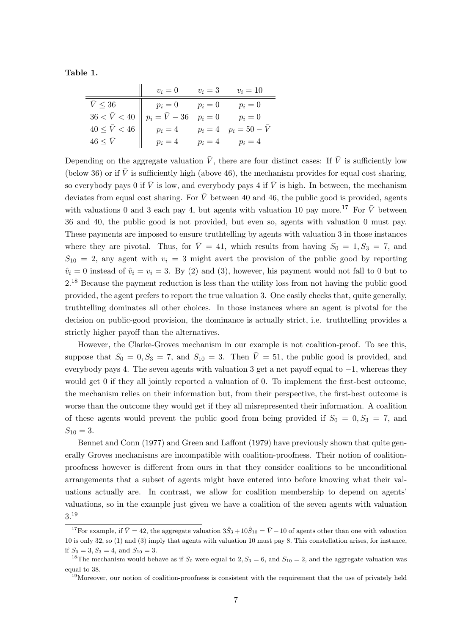Table 1.

|                                                  | $v_i=0$                                                        | $v_i=3$ | $v_i=10$                       |
|--------------------------------------------------|----------------------------------------------------------------|---------|--------------------------------|
| $\bar{V} \leq 36$<br>and the second              |                                                                | $p_i=0$ | $p_i=0$                        |
| $36 < \bar{V} < 40$ $p$<br>$40 \le \bar{V} < 46$ | $\begin{array}{l}\np_i = 0 \\ p_i = \bar{V} - 36\n\end{array}$ | $p_i=0$ | $p_i=0$                        |
|                                                  | $p_i=4$                                                        |         | $p_i = 4$ $p_i = 50 - \bar{V}$ |
| $46 \leq \bar{V}$                                | $p_i=4$                                                        | $p_i=4$ | $p_i=4$                        |

Depending on the aggregate valuation  $\bar{V}$ , there are four distinct cases: If  $\bar{V}$  is sufficiently low (below 36) or if  $\bar{V}$  is sufficiently high (above 46), the mechanism provides for equal cost sharing, so everybody pays 0 if  $\bar{V}$  is low, and everybody pays 4 if  $\bar{V}$  is high. In between, the mechanism deviates from equal cost sharing. For  $\bar{V}$  between 40 and 46, the public good is provided, agents with valuations 0 and 3 each pay 4, but agents with valuation 10 pay more.<sup>17</sup> For  $\bar{V}$  between 36 and 40, the public good is not provided, but even so, agents with valuation 0 must pay. These payments are imposed to ensure truthtelling by agents with valuation 3 in those instances where they are pivotal. Thus, for  $\overline{V} = 41$ , which results from having  $S_0 = 1, S_3 = 7$ , and  $S_{10} = 2$ , any agent with  $v_i = 3$  might avert the provision of the public good by reporting  $\hat{v}_i = 0$  instead of  $\hat{v}_i = v_i = 3$ . By (2) and (3), however, his payment would not fall to 0 but to 2.<sup>18</sup> Because the payment reduction is less than the utility loss from not having the public good provided, the agent prefers to report the true valuation 3. One easily checks that, quite generally, truthtelling dominates all other choices. In those instances where an agent is pivotal for the decision on public-good provision, the dominance is actually strict, i.e. truthtelling provides a strictly higher payoff than the alternatives.

However, the Clarke-Groves mechanism in our example is not coalition-proof. To see this, suppose that  $S_0 = 0, S_3 = 7$ , and  $S_{10} = 3$ . Then  $\overline{V} = 51$ , the public good is provided, and everybody pays 4. The seven agents with valuation 3 get a net payoff equal to −1, whereas they would get 0 if they all jointly reported a valuation of 0. To implement the first-best outcome, the mechanism relies on their information but, from their perspective, the first-best outcome is worse than the outcome they would get if they all misrepresented their information. A coalition of these agents would prevent the public good from being provided if  $S_0 = 0, S_3 = 7$ , and  $S_{10} = 3.$ 

Bennet and Conn (1977) and Green and Laffont (1979) have previously shown that quite generally Groves mechanisms are incompatible with coalition-proofness. Their notion of coalitionproofness however is different from ours in that they consider coalitions to be unconditional arrangements that a subset of agents might have entered into before knowing what their valuations actually are. In contrast, we allow for coalition membership to depend on agents' valuations, so in the example just given we have a coalition of the seven agents with valuation 3.<sup>19</sup>

<sup>&</sup>lt;sup>17</sup>For example, if  $\bar{V} = 42$ , the aggregate valuation  $3\hat{S}_3 + 10\hat{S}_{10} = \bar{V} - 10$  of agents other than one with valuation 10 is only 32, so (1) and (3) imply that agents with valuation 10 must pay 8. This constellation arises, for instance, if  $S_0 = 3, S_3 = 4$ , and  $S_{10} = 3$ .

<sup>&</sup>lt;sup>18</sup>The mechanism would behave as if  $S_0$  were equal to 2,  $S_3 = 6$ , and  $S_{10} = 2$ , and the aggregate valuation was equal to 38.

 $19$ Moreover, our notion of coalition-proofness is consistent with the requirement that the use of privately held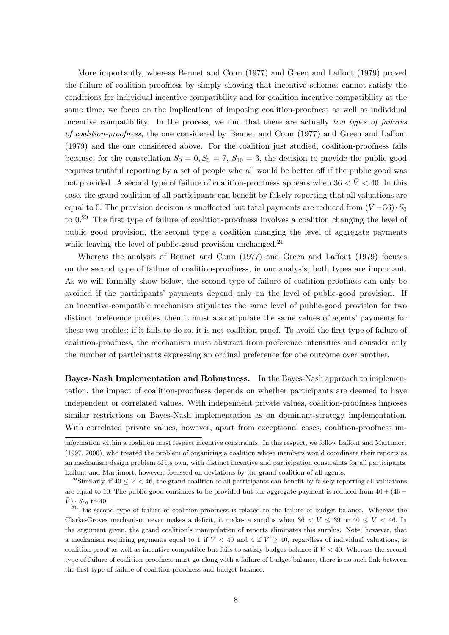More importantly, whereas Bennet and Conn (1977) and Green and Laffont (1979) proved the failure of coalition-proofness by simply showing that incentive schemes cannot satisfy the conditions for individual incentive compatibility and for coalition incentive compatibility at the same time, we focus on the implications of imposing coalition-proofness as well as individual incentive compatibility. In the process, we find that there are actually two types of failures of coalition-proofness, the one considered by Bennet and Conn (1977) and Green and Laffont (1979) and the one considered above. For the coalition just studied, coalition-proofness fails because, for the constellation  $S_0 = 0, S_3 = 7, S_{10} = 3$ , the decision to provide the public good requires truthful reporting by a set of people who all would be better off if the public good was not provided. A second type of failure of coalition-proofness appears when  $36 < \bar{V} < 40$ . In this case, the grand coalition of all participants can benefit by falsely reporting that all valuations are equal to 0. The provision decision is unaffected but total payments are reduced from  $(\bar{V}-36) \cdot S_0$ to 0.<sup>20</sup> The first type of failure of coalition-proofness involves a coalition changing the level of public good provision, the second type a coalition changing the level of aggregate payments while leaving the level of public-good provision unchanged.<sup>21</sup>

Whereas the analysis of Bennet and Conn (1977) and Green and Laffont (1979) focuses on the second type of failure of coalition-proofness, in our analysis, both types are important. As we will formally show below, the second type of failure of coalition-proofness can only be avoided if the participants' payments depend only on the level of public-good provision. If an incentive-compatible mechanism stipulates the same level of public-good provision for two distinct preference profiles, then it must also stipulate the same values of agents' payments for these two profiles; if it fails to do so, it is not coalition-proof. To avoid the first type of failure of coalition-proofness, the mechanism must abstract from preference intensities and consider only the number of participants expressing an ordinal preference for one outcome over another.

Bayes-Nash Implementation and Robustness. In the Bayes-Nash approach to implementation, the impact of coalition-proofness depends on whether participants are deemed to have independent or correlated values. With independent private values, coalition-proofness imposes similar restrictions on Bayes-Nash implementation as on dominant-strategy implementation. With correlated private values, however, apart from exceptional cases, coalition-proofness im-

information within a coalition must respect incentive constraints. In this respect, we follow Laffont and Martimort (1997, 2000), who treated the problem of organizing a coalition whose members would coordinate their reports as an mechanism design problem of its own, with distinct incentive and participation constraints for all participants. Laffont and Martimort, however, focussed on deviations by the grand coalition of all agents.

<sup>&</sup>lt;sup>20</sup>Similarly, if  $40 \le \bar{V}$  < 46, the grand coalition of all participants can benefit by falsely reporting all valuations are equal to 10. The public good continues to be provided but the aggregate payment is reduced from  $40 + (46 \bar{V}$ )  $\cdot$   $S_{10}$  to 40.

<sup>&</sup>lt;sup>21</sup>This second type of failure of coalition-proofness is related to the failure of budget balance. Whereas the Clarke-Groves mechanism never makes a deficit, it makes a surplus when  $36 < \bar{V} \leq 39$  or  $40 \leq \bar{V} < 46$ . In the argument given, the grand coalition's manipulation of reports eliminates this surplus. Note, however, that a mechanism requiring payments equal to 1 if  $\bar{V}$  < 40 and 4 if  $\bar{V} \geq 40$ , regardless of individual valuations, is coalition-proof as well as incentive-compatible but fails to satisfy budget balance if  $\bar{V}$  < 40. Whereas the second type of failure of coalition-proofness must go along with a failure of budget balance, there is no such link between the first type of failure of coalition-proofness and budget balance.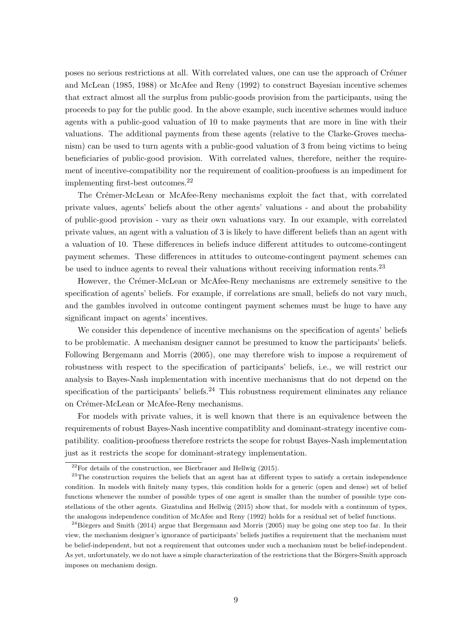poses no serious restrictions at all. With correlated values, one can use the approach of Crémer and McLean (1985, 1988) or McAfee and Reny (1992) to construct Bayesian incentive schemes that extract almost all the surplus from public-goods provision from the participants, using the proceeds to pay for the public good. In the above example, such incentive schemes would induce agents with a public-good valuation of 10 to make payments that are more in line with their valuations. The additional payments from these agents (relative to the Clarke-Groves mechanism) can be used to turn agents with a public-good valuation of 3 from being victims to being beneficiaries of public-good provision. With correlated values, therefore, neither the requirement of incentive-compatibility nor the requirement of coalition-proofness is an impediment for implementing first-best outcomes.<sup>22</sup>

The Crémer-McLean or McAfee-Reny mechanisms exploit the fact that, with correlated private values, agents' beliefs about the other agents' valuations - and about the probability of public-good provision - vary as their own valuations vary. In our example, with correlated private values, an agent with a valuation of 3 is likely to have different beliefs than an agent with a valuation of 10. These differences in beliefs induce different attitudes to outcome-contingent payment schemes. These differences in attitudes to outcome-contingent payment schemes can be used to induce agents to reveal their valuations without receiving information rents.<sup>23</sup>

However, the Crémer-McLean or McAfee-Reny mechanisms are extremely sensitive to the specification of agents' beliefs. For example, if correlations are small, beliefs do not vary much, and the gambles involved in outcome contingent payment schemes must be huge to have any significant impact on agents' incentives.

We consider this dependence of incentive mechanisms on the specification of agents' beliefs to be problematic. A mechanism designer cannot be presumed to know the participants' beliefs. Following Bergemann and Morris (2005), one may therefore wish to impose a requirement of robustness with respect to the specification of participants' beliefs, i.e., we will restrict our analysis to Bayes-Nash implementation with incentive mechanisms that do not depend on the specification of the participants' beliefs.<sup>24</sup> This robustness requirement eliminates any reliance on Crémer-McLean or McAfee-Reny mechanisms.

For models with private values, it is well known that there is an equivalence between the requirements of robust Bayes-Nash incentive compatiblity and dominant-strategy incentive compatibility. coalition-proofness therefore restricts the scope for robust Bayes-Nash implementation just as it restricts the scope for dominant-strategy implementation.

 $2^{22}$ For details of the construction, see Bierbrauer and Hellwig (2015).

<sup>&</sup>lt;sup>23</sup>The construction requires the beliefs that an agent has at different types to satisfy a certain independence condition. In models with finitely many types, this condition holds for a generic (open and dense) set of belief functions whenever the number of possible types of one agent is smaller than the number of possible type constellations of the other agents. Gizatulina and Hellwig (2015) show that, for models with a continuum of types, the analogous independence condition of McAfee and Reny (1992) holds for a residual set of belief functions.

<sup>&</sup>lt;sup>24</sup>Börgers and Smith (2014) argue that Bergemann and Morris (2005) may be going one step too far. In their view, the mechanism designer's ignorance of participants' beliefs justifies a requirement that the mechanism must be belief-independent, but not a requirement that outcomes under such a mechanism must be belief-independent. As yet, unfortunately, we do not have a simple characterization of the restrictions that the Börgers-Smith approach imposes on mechanism design.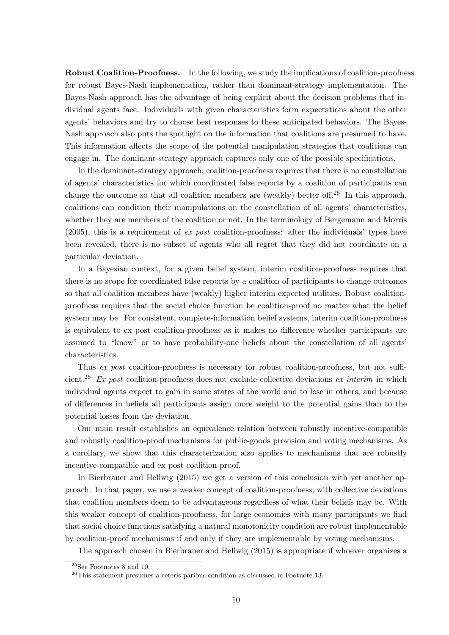Robust Coalition-Proofness. In the following, we study the implications of coalition-proofness for robust Bayes-Nash implementation, rather than dominant-strategy implementation. The Bayes-Nash approach has the advantage of being explicit about the decision problems that individual agents face. Individuals with given characteristics form expectations about the other agents' behaviors and try to choose best responses to these anticipated behaviors. The Bayes-Nash approach also puts the spotlight on the information that coalitions are presumed to have. This information affects the scope of the potential manipulation strategies that coalitions can engage in. The dominant-strategy approach captures only one of the possible specifications.

In the dominant-strategy approach, coalition-proofness requires that there is no constellation of agents' characteristics for which coordinated false reports by a coalition of participants can change the outcome so that all coalition members are (weakly) better off.<sup>25</sup> In this approach, coalitions can condition their manipulations on the constellation of all agents' characteristics, whether they are members of the coalition or not. In the terminology of Bergemann and Morris  $(2005)$ , this is a requirement of ex post coalition-proofness: after the individuals' types have been revealed, there is no subset of agents who all regret that they did not coordinate on a particular deviation.

In a Bayesian context, for a given belief system, interim coalition-proofness requires that there is no scope for coordinated false reports by a coalition of participants to change outcomes so that all coalition members have (weakly) higher interim expected utilities. Robust coalitionproofness requires that the social choice function be coalition-proof no matter what the belief system may be. For consistent, complete-information belief systems, interim coalition-proofness is equivalent to ex post coalition-proofness as it makes no difference whether participants are assumed to "know" or to have probability-one beliefs about the constellation of all agents' characteristics.

Thus ex post coalition-proofness is necessary for robust coalition-proofness, but not sufficient.<sup>26</sup> Ex post coalition-proofness does not exclude collective deviations ex interim in which individual agents expect to gain in some states of the world and to lose in others, and because of differences in beliefs all participants assign more weight to the potential gains than to the potential losses from the deviation.

Our main result establishes an equivalence relation between robustly incentive-compatible and robustly coalition-proof mechanisms for public-goods provision and voting mechanisms. As a corollary, we show that this characterization also applies to mechanisms that are robustly incentive-compatible and ex post coalition-proof.

In Bierbrauer and Hellwig (2015) we get a version of this conclusion with yet another approach. In that paper, we use a weaker concept of coalition-proofness, with collective deviations that coalition members deem to be advantageous regardless of what their beliefs may be. With this weaker concept of coalition-proofness, for large economies with many participants we find that social choice functions satisfying a natural monotonicity condition are robust implementable by coalition-proof mechanisms if and only if they are implementable by voting mechanisms.

The approach chosen in Bierbrauer and Hellwig (2015) is appropriate if whoever organizes a

 $25$ See Footnotes 8 and 10.

<sup>26</sup>This statement presumes a ceteris paribus condition as discussed in Footnote 13.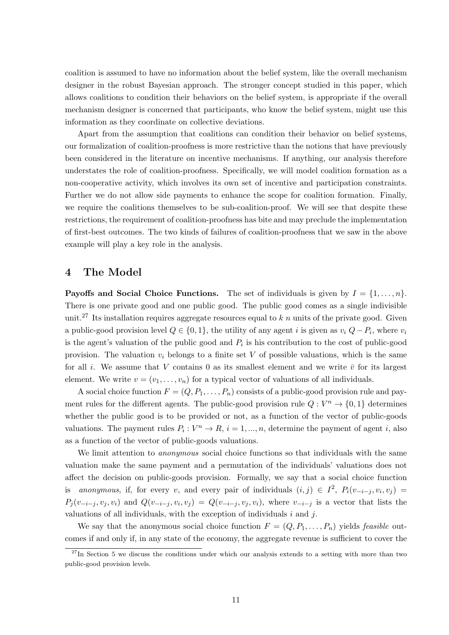coalition is assumed to have no information about the belief system, like the overall mechanism designer in the robust Bayesian approach. The stronger concept studied in this paper, which allows coalitions to condition their behaviors on the belief system, is appropriate if the overall mechanism designer is concerned that participants, who know the belief system, might use this information as they coordinate on collective deviations.

Apart from the assumption that coalitions can condition their behavior on belief systems, our formalization of coalition-proofness is more restrictive than the notions that have previously been considered in the literature on incentive mechanisms. If anything, our analysis therefore understates the role of coalition-proofness. Specifically, we will model coalition formation as a non-cooperative activity, which involves its own set of incentive and participation constraints. Further we do not allow side payments to enhance the scope for coalition formation. Finally, we require the coalitions themselves to be sub-coalition-proof. We will see that despite these restrictions, the requirement of coalition-proofness has bite and may preclude the implementation of first-best outcomes. The two kinds of failures of coalition-proofness that we saw in the above example will play a key role in the analysis.

#### 4 The Model

**Payoffs and Social Choice Functions.** The set of individuals is given by  $I = \{1, \ldots, n\}$ . There is one private good and one public good. The public good comes as a single indivisible unit.<sup>27</sup> Its installation requires aggregate resources equal to  $k n$  units of the private good. Given a public-good provision level  $Q \in \{0, 1\}$ , the utility of any agent i is given as  $v_i$   $Q - P_i$ , where  $v_i$ is the agent's valuation of the public good and  $P_i$  is his contribution to the cost of public-good provision. The valuation  $v_i$  belongs to a finite set V of possible valuations, which is the same for all i. We assume that V contains 0 as its smallest element and we write  $\bar{v}$  for its largest element. We write  $v = (v_1, \ldots, v_n)$  for a typical vector of valuations of all individuals.

A social choice function  $F = (Q, P_1, \ldots, P_n)$  consists of a public-good provision rule and payment rules for the different agents. The public-good provision rule  $Q: V^n \to \{0,1\}$  determines whether the public good is to be provided or not, as a function of the vector of public-goods valuations. The payment rules  $P_i: V^n \to R$ ,  $i = 1, ..., n$ , determine the payment of agent i, also as a function of the vector of public-goods valuations.

We limit attention to *anonymous* social choice functions so that individuals with the same valuation make the same payment and a permutation of the individuals' valuations does not affect the decision on public-goods provision. Formally, we say that a social choice function is anonymous, if, for every v, and every pair of individuals  $(i, j) \in I^2$ ,  $P_i(v_{-i-j}, v_i, v_j) =$  $P_j(v_{-i-j}, v_j, v_i)$  and  $Q(v_{-i-j}, v_i, v_j) = Q(v_{-i-j}, v_j, v_i)$ , where  $v_{-i-j}$  is a vector that lists the valuations of all individuals, with the exception of individuals  $i$  and  $j$ .

We say that the anonymous social choice function  $F = (Q, P_1, \ldots, P_n)$  yields *feasible* outcomes if and only if, in any state of the economy, the aggregate revenue is sufficient to cover the

 $27$ In Section 5 we discuss the conditions under which our analysis extends to a setting with more than two public-good provision levels.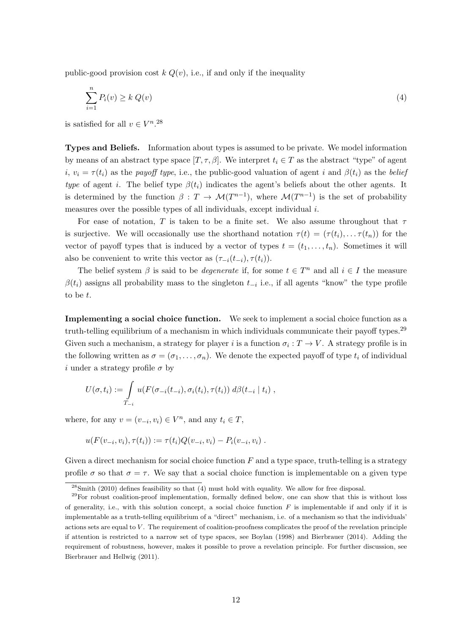public-good provision cost  $k Q(v)$ , i.e., if and only if the inequality

$$
\sum_{i=1}^{n} P_i(v) \ge k \ Q(v) \tag{4}
$$

is satisfied for all  $v \in V^{n,28}$ 

Types and Beliefs. Information about types is assumed to be private. We model information by means of an abstract type space  $[T, \tau, \beta]$ . We interpret  $t_i \in T$  as the abstract "type" of agent i,  $v_i = \tau(t_i)$  as the payoff type, i.e., the public-good valuation of agent i and  $\beta(t_i)$  as the belief type of agent i. The belief type  $\beta(t_i)$  indicates the agent's beliefs about the other agents. It is determined by the function  $\beta: T \to \mathcal{M}(T^{n-1})$ , where  $\mathcal{M}(T^{n-1})$  is the set of probability measures over the possible types of all individuals, except individual i.

For ease of notation, T is taken to be a finite set. We also assume throughout that  $\tau$ is surjective. We will occasionally use the shorthand notation  $\tau(t) = (\tau(t_i), \dots, \tau(t_n))$  for the vector of payoff types that is induced by a vector of types  $t = (t_1, \ldots, t_n)$ . Sometimes it will also be convenient to write this vector as  $(\tau_{-i}(t_{-i}), \tau(t_i)).$ 

The belief system  $\beta$  is said to be *degenerate* if, for some  $t \in T^n$  and all  $i \in I$  the measure  $\beta(t_i)$  assigns all probability mass to the singleton  $t_{-i}$  i.e., if all agents "know" the type profile to be t.

Implementing a social choice function. We seek to implement a social choice function as a truth-telling equilibrium of a mechanism in which individuals communicate their payoff types.<sup>29</sup> Given such a mechanism, a strategy for player i is a function  $\sigma_i : T \to V$ . A strategy profile is in the following written as  $\sigma = (\sigma_1, \ldots, \sigma_n)$ . We denote the expected payoff of type  $t_i$  of individual i under a strategy profile  $\sigma$  by

$$
U(\sigma, t_i) := \int\limits_{T_{-i}} u(F(\sigma_{-i}(t_{-i}), \sigma_i(t_i), \tau(t_i)) \ d\beta(t_{-i} \mid t_i) ,
$$

where, for any  $v = (v_{-i}, v_i) \in V^n$ , and any  $t_i \in T$ ,

$$
u(F(v_{-i},v_i),\tau(t_i)) := \tau(t_i)Q(v_{-i},v_i) - P_i(v_{-i},v_i) .
$$

Given a direct mechanism for social choice function  $F$  and a type space, truth-telling is a strategy profile  $\sigma$  so that  $\sigma = \tau$ . We say that a social choice function is implementable on a given type

 $^{28}$ Smith (2010) defines feasibility so that (4) must hold with equality. We allow for free disposal.

 $^{29}$ For robust coalition-proof implementation, formally defined below, one can show that this is without loss of generality, i.e., with this solution concept, a social choice function  $F$  is implementable if and only if it is implementable as a truth-telling equilibrium of a "direct" mechanism, i.e. of a mechanism so that the individuals' actions sets are equal to V. The requirement of coalition-proofness complicates the proof of the revelation principle if attention is restricted to a narrow set of type spaces, see Boylan (1998) and Bierbrauer (2014). Adding the requirement of robustness, however, makes it possible to prove a revelation principle. For further discussion, see Bierbrauer and Hellwig (2011).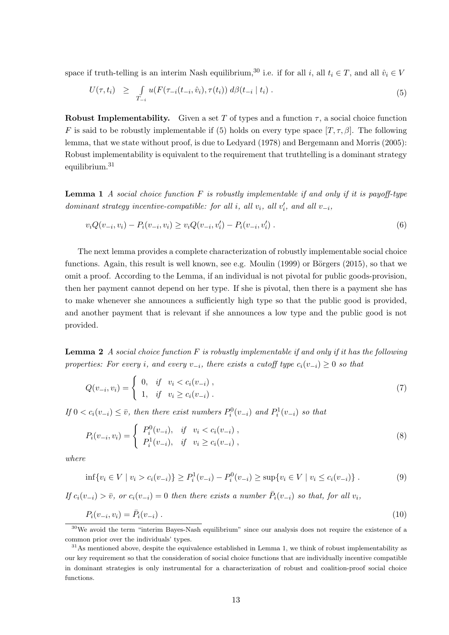space if truth-telling is an interim Nash equilibrium,<sup>30</sup> i.e. if for all *i*, all  $t_i \in T$ , and all  $\hat{v}_i \in V$ 

$$
U(\tau, t_i) \geq \int_{T_{-i}} u(F(\tau_{-i}(t_{-i}, \hat{v}_i), \tau(t_i)) \, d\beta(t_{-i} \mid t_i) \, . \tag{5}
$$

Robust Implementability. Given a set T of types and a function  $\tau$ , a social choice function F is said to be robustly implementable if (5) holds on every type space  $[T, \tau, \beta]$ . The following lemma, that we state without proof, is due to Ledyard (1978) and Bergemann and Morris (2005): Robust implementability is equivalent to the requirement that truthtelling is a dominant strategy equilibrium.<sup>31</sup>

**Lemma 1** A social choice function F is robustly implementable if and only if it is payoff-type dominant strategy incentive-compatible: for all i, all  $v_i$ , all  $v'_i$ , and all  $v_{-i}$ ,

$$
v_i Q(v_{-i}, v_i) - P_i(v_{-i}, v_i) \ge v_i Q(v_{-i}, v'_i) - P_i(v_{-i}, v'_i).
$$
\n
$$
(6)
$$

The next lemma provides a complete characterization of robustly implementable social choice functions. Again, this result is well known, see e.g. Moulin  $(1999)$  or Börgers  $(2015)$ , so that we omit a proof. According to the Lemma, if an individual is not pivotal for public goods-provision, then her payment cannot depend on her type. If she is pivotal, then there is a payment she has to make whenever she announces a sufficiently high type so that the public good is provided, and another payment that is relevant if she announces a low type and the public good is not provided.

**Lemma 2** A social choice function  $F$  is robustly implementable if and only if it has the following properties: For every i, and every  $v_{-i}$ , there exists a cutoff type  $c_i(v_{-i}) \geq 0$  so that

$$
Q(v_{-i}, v_i) = \begin{cases} 0, & if \quad v_i < c_i(v_{-i}), \\ 1, & if \quad v_i \ge c_i(v_{-i}). \end{cases} \tag{7}
$$

If  $0 < c_i(v_{-i}) \leq \overline{v}$ , then there exist numbers  $P_i^0(v_{-i})$  and  $P_i^1(v_{-i})$  so that

$$
P_i(v_{-i}, v_i) = \begin{cases} P_i^0(v_{-i}), & if \quad v_i < c_i(v_{-i}), \\ P_i^1(v_{-i}), & if \quad v_i \geq c_i(v_{-i}), \end{cases} \tag{8}
$$

where

$$
\inf \{ v_i \in V \mid v_i > c_i(v_{-i}) \} \ge P_i^1(v_{-i}) - P_i^0(v_{-i}) \ge \sup \{ v_i \in V \mid v_i \le c_i(v_{-i}) \} . \tag{9}
$$

If  $c_i(v_{-i}) > \overline{v}$ , or  $c_i(v_{-i}) = 0$  then there exists a number  $\overline{P}_i(v_{-i})$  so that, for all  $v_i$ ,

$$
P_i(v_{-i}, v_i) = \bar{P}_i(v_{-i}) \tag{10}
$$

<sup>30</sup>We avoid the term "interim Bayes-Nash equilibrium" since our analysis does not require the existence of a common prior over the individuals' types.

 $31$ As mentioned above, despite the equivalence established in Lemma 1, we think of robust implementability as our key requirement so that the consideration of social choice functions that are individually incentive compatible in dominant strategies is only instrumental for a characterization of robust and coalition-proof social choice functions.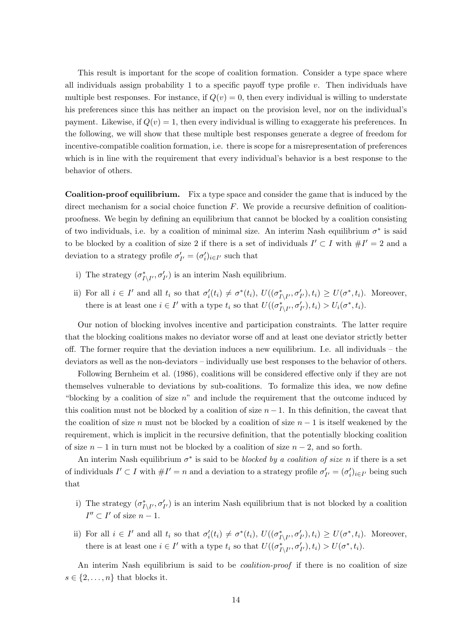This result is important for the scope of coalition formation. Consider a type space where all individuals assign probability 1 to a specific payoff type profile  $v$ . Then individuals have multiple best responses. For instance, if  $Q(v) = 0$ , then every individual is willing to understate his preferences since this has neither an impact on the provision level, nor on the individual's payment. Likewise, if  $Q(v) = 1$ , then every individual is willing to exaggerate his preferences. In the following, we will show that these multiple best responses generate a degree of freedom for incentive-compatible coalition formation, i.e. there is scope for a misrepresentation of preferences which is in line with the requirement that every individual's behavior is a best response to the behavior of others.

Coalition-proof equilibrium. Fix a type space and consider the game that is induced by the direct mechanism for a social choice function  $F$ . We provide a recursive definition of coalitionproofness. We begin by defining an equilibrium that cannot be blocked by a coalition consisting of two individuals, i.e. by a coalition of minimal size. An interim Nash equilibrium  $\sigma^*$  is said to be blocked by a coalition of size 2 if there is a set of individuals  $I' \subset I$  with  $\#I' = 2$  and a deviation to a strategy profile  $\sigma'_{I'} = (\sigma'_i)_{i \in I'}$  such that

- i) The strategy  $(\sigma_{I\setminus I'}^*, \sigma_{I'}')$  is an interim Nash equilibrium.
- ii) For all  $i \in I'$  and all  $t_i$  so that  $\sigma'_i(t_i) \neq \sigma^*(t_i)$ ,  $U((\sigma^*_{I\setminus I'}, \sigma'_{I'}), t_i) \geq U(\sigma^*, t_i)$ . Moreover, there is at least one  $i \in I'$  with a type  $t_i$  so that  $U((\sigma_{I\setminus I'}^*, \sigma_{I'}'), t_i) > U_i(\sigma^*, t_i)$ .

Our notion of blocking involves incentive and participation constraints. The latter require that the blocking coalitions makes no deviator worse off and at least one deviator strictly better off. The former require that the deviation induces a new equilibrium. I.e. all individuals – the deviators as well as the non-deviators – individually use best responses to the behavior of others.

Following Bernheim et al. (1986), coalitions will be considered effective only if they are not themselves vulnerable to deviations by sub-coalitions. To formalize this idea, we now define "blocking by a coalition of size  $n$ " and include the requirement that the outcome induced by this coalition must not be blocked by a coalition of size  $n-1$ . In this definition, the caveat that the coalition of size n must not be blocked by a coalition of size  $n-1$  is itself weakened by the requirement, which is implicit in the recursive definition, that the potentially blocking coalition of size  $n-1$  in turn must not be blocked by a coalition of size  $n-2$ , and so forth.

An interim Nash equilibrium  $\sigma^*$  is said to be *blocked by a coalition of size* n if there is a set of individuals  $I' \subset I$  with  $\#I' = n$  and a deviation to a strategy profile  $\sigma'_{I'} = (\sigma'_i)_{i \in I'}$  being such that

- i) The strategy  $(\sigma_{I\setminus I'}^*, \sigma_{I'}')$  is an interim Nash equilibrium that is not blocked by a coalition  $I'' \subset I'$  of size  $n-1$ .
- ii) For all  $i \in I'$  and all  $t_i$  so that  $\sigma'_i(t_i) \neq \sigma^*(t_i)$ ,  $U((\sigma^*_{I\setminus I'}, \sigma'_{I'}), t_i) \geq U(\sigma^*, t_i)$ . Moreover, there is at least one  $i \in I'$  with a type  $t_i$  so that  $U((\sigma_{I \setminus I'}^*, \sigma'_{I'}), t_i) > U(\sigma^*, t_i)$ .

An interim Nash equilibrium is said to be *coalition-proof* if there is no coalition of size  $s \in \{2, \ldots, n\}$  that blocks it.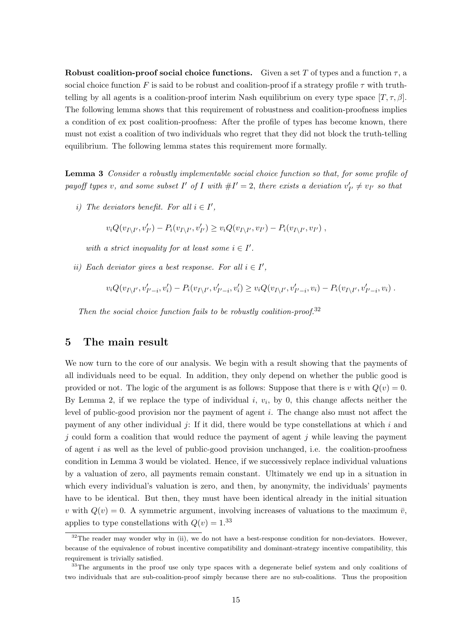Robust coalition-proof social choice functions. Given a set T of types and a function  $\tau$ , a social choice function F is said to be robust and coalition-proof if a strategy profile  $\tau$  with truthtelling by all agents is a coalition-proof interim Nash equilibrium on every type space  $[T, \tau, \beta]$ . The following lemma shows that this requirement of robustness and coalition-proofness implies a condition of ex post coalition-proofness: After the profile of types has become known, there must not exist a coalition of two individuals who regret that they did not block the truth-telling equilibrium. The following lemma states this requirement more formally.

Lemma 3 Consider a robustly implementable social choice function so that, for some profile of payoff types v, and some subset I' of I with  $\#I' = 2$ , there exists a deviation  $v'_{I'} \neq v_{I'}$  so that

i) The deviators benefit. For all  $i \in I'$ ,

$$
v_i Q(v_{I \setminus I'}, v'_{I'}) - P_i(v_{I \setminus I'}, v'_{I'}) \ge v_i Q(v_{I \setminus I'}, v_{I'}) - P_i(v_{I \setminus I'}, v_{I'})
$$
,

with a strict inequality for at least some  $i \in I'$ .

ii) Each deviator gives a best response. For all  $i \in I'$ ,

$$
v_i Q(v_{I \setminus I'}, v'_{I'-i}, v'_i) - P_i(v_{I \setminus I'}, v'_{I'-i}, v'_i) \ge v_i Q(v_{I \setminus I'}, v'_{I'-i}, v_i) - P_i(v_{I \setminus I'}, v'_{I'-i}, v_i) .
$$

Then the social choice function fails to be robustly coalition-proof.<sup>32</sup>

#### 5 The main result

We now turn to the core of our analysis. We begin with a result showing that the payments of all individuals need to be equal. In addition, they only depend on whether the public good is provided or not. The logic of the argument is as follows: Suppose that there is v with  $Q(v) = 0$ . By Lemma 2, if we replace the type of individual  $i, v_i$ , by 0, this change affects neither the level of public-good provision nor the payment of agent i. The change also must not affect the payment of any other individual  $j$ : If it did, there would be type constellations at which i and  $j$  could form a coalition that would reduce the payment of agent  $j$  while leaving the payment of agent  $i$  as well as the level of public-good provision unchanged, i.e. the coalition-proofness condition in Lemma 3 would be violated. Hence, if we successively replace individual valuations by a valuation of zero, all payments remain constant. Ultimately we end up in a situation in which every individual's valuation is zero, and then, by anonymity, the individuals' payments have to be identical. But then, they must have been identical already in the initial situation v with  $Q(v) = 0$ . A symmetric argument, involving increases of valuations to the maximum  $\bar{v}$ , applies to type constellations with  $Q(v) = 1^{33}$ 

 $32$ The reader may wonder why in (ii), we do not have a best-response condition for non-deviators. However, because of the equivalence of robust incentive compatibility and dominant-strategy incentive compatibility, this requirement is trivially satisfied.

<sup>&</sup>lt;sup>33</sup>The arguments in the proof use only type spaces with a degenerate belief system and only coalitions of two individuals that are sub-coalition-proof simply because there are no sub-coalitions. Thus the proposition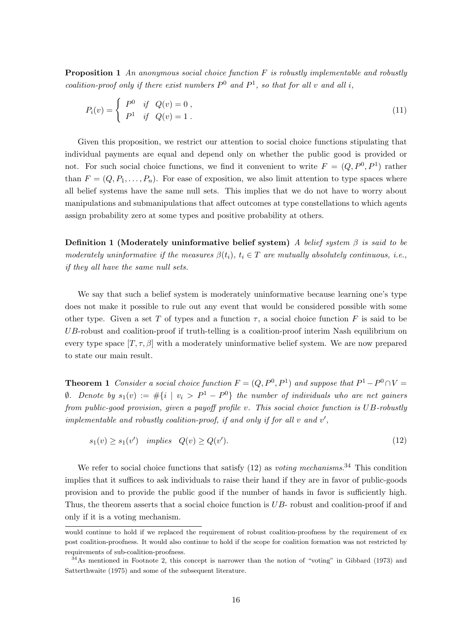**Proposition 1** An anonymous social choice function  $F$  is robustly implementable and robustly coalition-proof only if there exist numbers  $P^0$  and  $P^1$ , so that for all v and all i,

$$
P_i(v) = \begin{cases} P^0 & \text{if } Q(v) = 0, \\ P^1 & \text{if } Q(v) = 1. \end{cases}
$$
 (11)

Given this proposition, we restrict our attention to social choice functions stipulating that individual payments are equal and depend only on whether the public good is provided or not. For such social choice functions, we find it convenient to write  $F = (Q, P^0, P^1)$  rather than  $F = (Q, P_1, \ldots, P_n)$ . For ease of exposition, we also limit attention to type spaces where all belief systems have the same null sets. This implies that we do not have to worry about manipulations and submanipulations that affect outcomes at type constellations to which agents assign probability zero at some types and positive probability at others.

Definition 1 (Moderately uninformative belief system) A belief system  $\beta$  is said to be moderately uninformative if the measures  $\beta(t_i)$ ,  $t_i \in T$  are mutually absolutely continuous, i.e., if they all have the same null sets.

We say that such a belief system is moderately uninformative because learning one's type does not make it possible to rule out any event that would be considered possible with some other type. Given a set T of types and a function  $\tau$ , a social choice function F is said to be UB-robust and coalition-proof if truth-telling is a coalition-proof interim Nash equilibrium on every type space  $[T, \tau, \beta]$  with a moderately uninformative belief system. We are now prepared to state our main result.

**Theorem 1** Consider a social choice function  $F = (Q, P^0, P^1)$  and suppose that  $P^1 - P^0 \cap V =$  $\emptyset$ . Denote by  $s_1(v) := \#\{i \mid v_i > P^1 - P^0\}$  the number of individuals who are net gainers from public-good provision, given a payoff profile v. This social choice function is UB-robustly implementable and robustly coalition-proof, if and only if for all  $v$  and  $v'$ ,

$$
s_1(v) \ge s_1(v') \quad implies \quad Q(v) \ge Q(v'). \tag{12}
$$

We refer to social choice functions that satisfy  $(12)$  as voting mechanisms.<sup>34</sup> This condition implies that it suffices to ask individuals to raise their hand if they are in favor of public-goods provision and to provide the public good if the number of hands in favor is sufficiently high. Thus, the theorem asserts that a social choice function is UB- robust and coalition-proof if and only if it is a voting mechanism.

would continue to hold if we replaced the requirement of robust coalition-proofness by the requirement of ex post coalition-proofness. It would also continue to hold if the scope for coalition formation was not restricted by requirements of sub-coalition-proofness.

<sup>34</sup>As mentioned in Footnote 2, this concept is narrower than the notion of "voting" in Gibbard (1973) and Satterthwaite (1975) and some of the subsequent literature.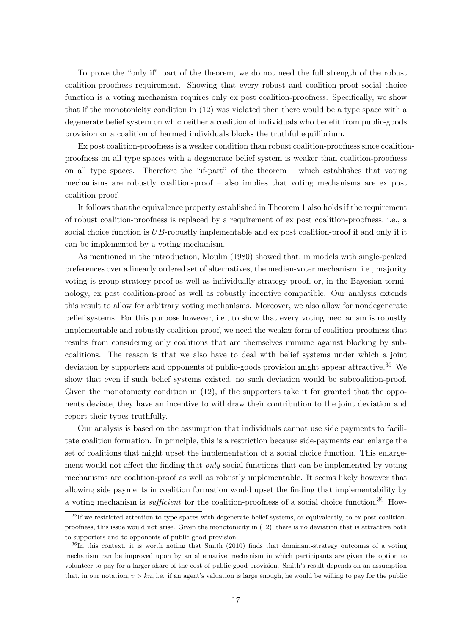To prove the "only if" part of the theorem, we do not need the full strength of the robust coalition-proofness requirement. Showing that every robust and coalition-proof social choice function is a voting mechanism requires only ex post coalition-proofness. Specifically, we show that if the monotonicity condition in (12) was violated then there would be a type space with a degenerate belief system on which either a coalition of individuals who benefit from public-goods provision or a coalition of harmed individuals blocks the truthful equilibrium.

Ex post coalition-proofness is a weaker condition than robust coalition-proofness since coalitionproofness on all type spaces with a degenerate belief system is weaker than coalition-proofness on all type spaces. Therefore the "if-part" of the theorem – which establishes that voting mechanisms are robustly coalition-proof – also implies that voting mechanisms are ex post coalition-proof.

It follows that the equivalence property established in Theorem 1 also holds if the requirement of robust coalition-proofness is replaced by a requirement of ex post coalition-proofness, i.e., a social choice function is  $UB$ -robustly implementable and ex post coalition-proof if and only if it can be implemented by a voting mechanism.

As mentioned in the introduction, Moulin (1980) showed that, in models with single-peaked preferences over a linearly ordered set of alternatives, the median-voter mechanism, i.e., majority voting is group strategy-proof as well as individually strategy-proof, or, in the Bayesian terminology, ex post coalition-proof as well as robustly incentive compatible. Our analysis extends this result to allow for arbitrary voting mechanisms. Moreover, we also allow for nondegenerate belief systems. For this purpose however, i.e., to show that every voting mechanism is robustly implementable and robustly coalition-proof, we need the weaker form of coalition-proofness that results from considering only coalitions that are themselves immune against blocking by subcoalitions. The reason is that we also have to deal with belief systems under which a joint deviation by supporters and opponents of public-goods provision might appear attractive.<sup>35</sup> We show that even if such belief systems existed, no such deviation would be subcoalition-proof. Given the monotonicity condition in  $(12)$ , if the supporters take it for granted that the opponents deviate, they have an incentive to withdraw their contribution to the joint deviation and report their types truthfully.

Our analysis is based on the assumption that individuals cannot use side payments to facilitate coalition formation. In principle, this is a restriction because side-payments can enlarge the set of coalitions that might upset the implementation of a social choice function. This enlargement would not affect the finding that *only* social functions that can be implemented by voting mechanisms are coalition-proof as well as robustly implementable. It seems likely however that allowing side payments in coalition formation would upset the finding that implementability by a voting mechanism is *sufficient* for the coalition-proofness of a social choice function.<sup>36</sup> How-

 $35$ If we restricted attention to type spaces with degenerate belief systems, or equivalently, to ex post coalitionproofness, this issue would not arise. Given the monotonicity in (12), there is no deviation that is attractive both to supporters and to opponents of public-good provision.

<sup>&</sup>lt;sup>36</sup>In this context, it is worth noting that Smith (2010) finds that dominant-strategy outcomes of a voting mechanism can be improved upon by an alternative mechanism in which participants are given the option to volunteer to pay for a larger share of the cost of public-good provision. Smith's result depends on an assumption that, in our notation,  $\bar{v} > kn$ , i.e. if an agent's valuation is large enough, he would be willing to pay for the public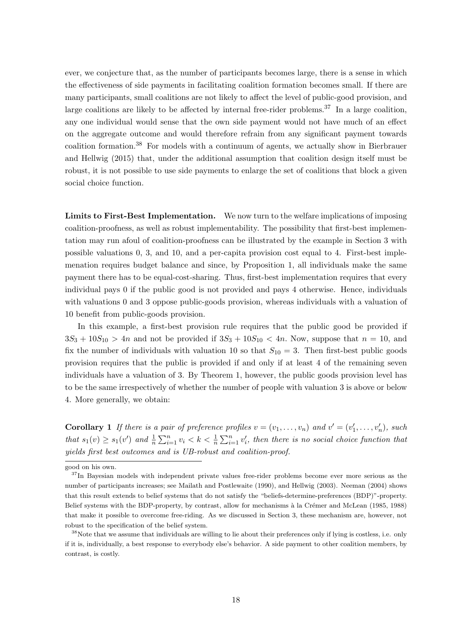ever, we conjecture that, as the number of participants becomes large, there is a sense in which the effectiveness of side payments in facilitating coalition formation becomes small. If there are many participants, small coalitions are not likely to affect the level of public-good provision, and large coalitions are likely to be affected by internal free-rider problems.<sup>37</sup> In a large coalition, any one individual would sense that the own side payment would not have much of an effect on the aggregate outcome and would therefore refrain from any significant payment towards coalition formation.<sup>38</sup> For models with a continuum of agents, we actually show in Bierbrauer and Hellwig (2015) that, under the additional assumption that coalition design itself must be robust, it is not possible to use side payments to enlarge the set of coalitions that block a given social choice function.

Limits to First-Best Implementation. We now turn to the welfare implications of imposing coalition-proofness, as well as robust implementability. The possibility that first-best implementation may run afoul of coalition-proofness can be illustrated by the example in Section 3 with possible valuations 0, 3, and 10, and a per-capita provision cost equal to 4. First-best implemenation requires budget balance and since, by Proposition 1, all individuals make the same payment there has to be equal-cost-sharing. Thus, first-best implementation requires that every individual pays 0 if the public good is not provided and pays 4 otherwise. Hence, individuals with valuations 0 and 3 oppose public-goods provision, whereas individuals with a valuation of 10 benefit from public-goods provision.

In this example, a first-best provision rule requires that the public good be provided if  $3S_3 + 10S_{10} > 4n$  and not be provided if  $3S_3 + 10S_{10} < 4n$ . Now, suppose that  $n = 10$ , and fix the number of individuals with valuation 10 so that  $S_{10} = 3$ . Then first-best public goods provision requires that the public is provided if and only if at least 4 of the remaining seven individuals have a valuation of 3. By Theorem 1, however, the public goods provision level has to be the same irrespectively of whether the number of people with valuation 3 is above or below 4. More generally, we obtain:

**Corollary 1** If there is a pair of preference profiles  $v = (v_1, \ldots, v_n)$  and  $v' = (v'_1, \ldots, v'_n)$ , such that  $s_1(v) \geq s_1(v')$  and  $\frac{1}{n} \sum_{i=1}^n v_i < k < \frac{1}{n} \sum_{i=1}^n v_i'$ , then there is no social choice function that yields first best outcomes and is UB-robust and coalition-proof.

good on his own.

<sup>&</sup>lt;sup>37</sup>In Bayesian models with independent private values free-rider problems become ever more serious as the number of participants increases; see Mailath and Postlewaite (1990), and Hellwig (2003). Neeman (2004) shows that this result extends to belief systems that do not satisfy the "beliefs-determine-preferences (BDP)"-property. Belief systems with the BDP-property, by contrast, allow for mechanisms à la Crémer and McLean (1985, 1988) that make it possible to overcome free-riding. As we discussed in Section 3, these mechanism are, however, not robust to the specification of the belief system.

<sup>38</sup>Note that we assume that individuals are willing to lie about their preferences only if lying is costless, i.e. only if it is, individually, a best response to everybody else's behavior. A side payment to other coalition members, by contrast, is costly.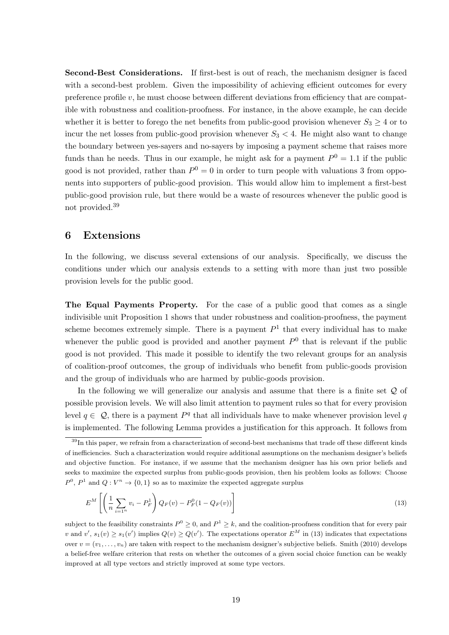Second-Best Considerations. If first-best is out of reach, the mechanism designer is faced with a second-best problem. Given the impossibility of achieving efficient outcomes for every preference profile  $v$ , he must choose between different deviations from efficiency that are compatible with robustness and coalition-proofness. For instance, in the above example, he can decide whether it is better to forego the net benefits from public-good provision whenever  $S_3 \geq 4$  or to incur the net losses from public-good provision whenever  $S_3 < 4$ . He might also want to change the boundary between yes-sayers and no-sayers by imposing a payment scheme that raises more funds than he needs. Thus in our example, he might ask for a payment  $P^0 = 1.1$  if the public good is not provided, rather than  $P^0 = 0$  in order to turn people with valuations 3 from opponents into supporters of public-good provision. This would allow him to implement a first-best public-good provision rule, but there would be a waste of resources whenever the public good is not provided.<sup>39</sup>

### 6 Extensions

In the following, we discuss several extensions of our analysis. Specifically, we discuss the conditions under which our analysis extends to a setting with more than just two possible provision levels for the public good.

The Equal Payments Property. For the case of a public good that comes as a single indivisible unit Proposition 1 shows that under robustness and coalition-proofness, the payment scheme becomes extremely simple. There is a payment  $P<sup>1</sup>$  that every individual has to make whenever the public good is provided and another payment  $P^0$  that is relevant if the public good is not provided. This made it possible to identify the two relevant groups for an analysis of coalition-proof outcomes, the group of individuals who benefit from public-goods provision and the group of individuals who are harmed by public-goods provision.

In the following we will generalize our analysis and assume that there is a finite set Q of possible provision levels. We will also limit attention to payment rules so that for every provision level  $q \in \mathcal{Q}$ , there is a payment  $P<sup>q</sup>$  that all individuals have to make whenever provision level q is implemented. The following Lemma provides a justification for this approach. It follows from

$$
E^{M}\left[\left(\frac{1}{n}\sum_{i=1^{n}}v_{i}-P_{F}^{1}\right)Q_{F}(v)-P_{F}^{0}(1-Q_{F}(v))\right]
$$
\n(13)

subject to the feasibility constraints  $P^0 \geq 0$ , and  $P^1 \geq k$ , and the coalition-proofness condition that for every pair v and  $v'$ ,  $s_1(v) \geq s_1(v')$  implies  $Q(v) \geq Q(v')$ . The expectations operator  $E^M$  in (13) indicates that expectations over  $v = (v_1, \ldots, v_n)$  are taken with respect to the mechanism designer's subjective beliefs. Smith (2010) develops a belief-free welfare criterion that rests on whether the outcomes of a given social choice function can be weakly improved at all type vectors and strictly improved at some type vectors.

<sup>&</sup>lt;sup>39</sup>In this paper, we refrain from a characterization of second-best mechanisms that trade off these different kinds of inefficiencies. Such a characterization would require additional assumptions on the mechanism designer's beliefs and objective function. For instance, if we assume that the mechanism designer has his own prior beliefs and seeks to maximize the expected surplus from public-goods provision, then his problem looks as follows: Choose  $P^0$ ,  $P^1$  and  $Q: V^n \to \{0,1\}$  so as to maximize the expected aggregate surplus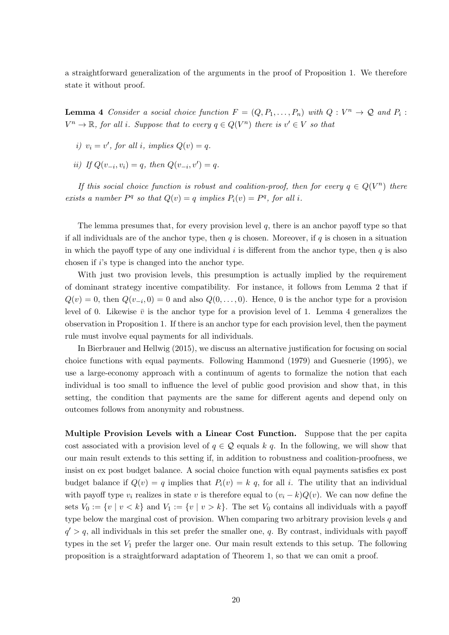a straightforward generalization of the arguments in the proof of Proposition 1. We therefore state it without proof.

**Lemma 4** Consider a social choice function  $F = (Q, P_1, \ldots, P_n)$  with  $Q: V^n \to Q$  and  $P_i$ :  $V^n \to \mathbb{R}$ , for all i. Suppose that to every  $q \in Q(V^n)$  there is  $v' \in V$  so that

- i)  $v_i = v'$ , for all i, implies  $Q(v) = q$ .
- ii) If  $Q(v_{-i}, v_i) = q$ , then  $Q(v_{-i}, v') = q$ .

If this social choice function is robust and coalition-proof, then for every  $q \in Q(V^n)$  there exists a number  $P^q$  so that  $Q(v) = q$  implies  $P_i(v) = P^q$ , for all i.

The lemma presumes that, for every provision level  $q$ , there is an anchor payoff type so that if all individuals are of the anchor type, then  $q$  is chosen. Moreover, if  $q$  is chosen in a situation in which the payoff type of any one individual  $i$  is different from the anchor type, then  $q$  is also chosen if i's type is changed into the anchor type.

With just two provision levels, this presumption is actually implied by the requirement of dominant strategy incentive compatibility. For instance, it follows from Lemma 2 that if  $Q(v) = 0$ , then  $Q(v_{-i}, 0) = 0$  and also  $Q(0, \ldots, 0)$ . Hence, 0 is the anchor type for a provision level of 0. Likewise  $\bar{v}$  is the anchor type for a provision level of 1. Lemma 4 generalizes the observation in Proposition 1. If there is an anchor type for each provision level, then the payment rule must involve equal payments for all individuals.

In Bierbrauer and Hellwig (2015), we discuss an alternative justification for focusing on social choice functions with equal payments. Following Hammond (1979) and Guesnerie (1995), we use a large-economy approach with a continuum of agents to formalize the notion that each individual is too small to influence the level of public good provision and show that, in this setting, the condition that payments are the same for different agents and depend only on outcomes follows from anonymity and robustness.

Multiple Provision Levels with a Linear Cost Function. Suppose that the per capita cost associated with a provision level of  $q \in \mathcal{Q}$  equals k q. In the following, we will show that our main result extends to this setting if, in addition to robustness and coalition-proofness, we insist on ex post budget balance. A social choice function with equal payments satisfies ex post budget balance if  $Q(v) = q$  implies that  $P_i(v) = k q$ , for all i. The utility that an individual with payoff type  $v_i$  realizes in state v is therefore equal to  $(v_i - k)Q(v)$ . We can now define the sets  $V_0 := \{v \mid v < k\}$  and  $V_1 := \{v \mid v > k\}$ . The set  $V_0$  contains all individuals with a payoff type below the marginal cost of provision. When comparing two arbitrary provision levels  $q$  and  $q' > q$ , all individuals in this set prefer the smaller one, q. By contrast, individuals with payoff types in the set  $V_1$  prefer the larger one. Our main result extends to this setup. The following proposition is a straightforward adaptation of Theorem 1, so that we can omit a proof.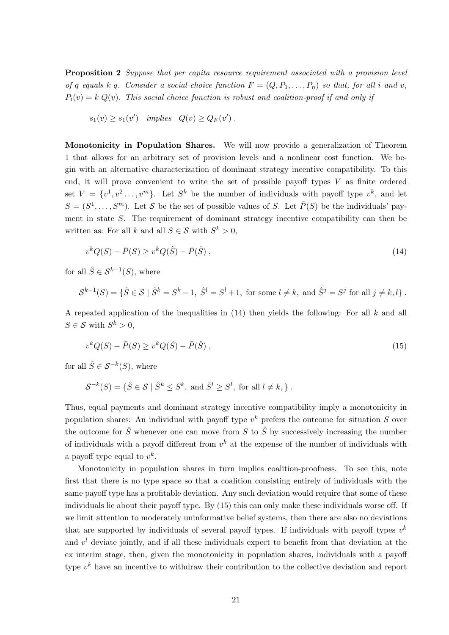Proposition 2 Suppose that per capita resource requirement associated with a provision level of q equals k q. Consider a social choice function  $F = (Q, P_1, \ldots, P_n)$  so that, for all i and v,  $P_i(v) = k Q(v)$ . This social choice function is robust and coalition-proof if and only if

 $s_1(v) \geq s_1(v')$  implies  $Q(v) \geq Q_F(v')$ .

Monotonicity in Population Shares. We will now provide a generalization of Theorem 1 that allows for an arbitrary set of provision levels and a nonlinear cost function. We begin with an alternative characterization of dominant strategy incentive compatibility. To this end, it will prove convenient to write the set of possible payoff types  $V$  as finite ordered set  $V = \{v^1, v^2, \ldots, v^m\}$ . Let  $S^k$  be the number of individuals with payoff type  $v^k$ , and let  $S = (S^1, \ldots, S^m)$ . Let S be the set of possible values of S. Let  $\bar{P}(S)$  be the individuals' payment in state S. The requirement of dominant strategy incentive compatibility can then be written as: For all k and all  $S \in \mathcal{S}$  with  $S^k > 0$ ,

$$
v^{k}Q(S) - \bar{P}(S) \ge v^{k}Q(\hat{S}) - \bar{P}(\hat{S}), \qquad (14)
$$

for all  $\hat{S} \in \mathcal{S}^{k-1}(S)$ , where

$$
\mathcal{S}^{k-1}(S) = \{ \hat{S} \in \mathcal{S} \mid \hat{S}^k = S^k - 1, \ \hat{S}^l = S^l + 1, \text{ for some } l \neq k, \text{ and } \hat{S}^j = S^j \text{ for all } j \neq k, l \} .
$$

A repeated application of the inequalities in  $(14)$  then yields the following: For all k and all  $S \in \mathcal{S}$  with  $S^k > 0$ ,

$$
v^{k}Q(S) - \bar{P}(S) \ge v^{k}Q(\hat{S}) - \bar{P}(\hat{S}), \qquad (15)
$$

for all  $\hat{S} \in \mathcal{S}^{-k}(S)$ , where

$$
\mathcal{S}^{-k}(S) = \{ \hat{S} \in \mathcal{S} \mid \hat{S}^k \le S^k, \text{ and } \hat{S}^l \ge S^l, \text{ for all } l \neq k, \} .
$$

Thus, equal payments and dominant strategy incentive compatibility imply a monotonicity in population shares: An individual with payoff type  $v^k$  prefers the outcome for situation S over the outcome for  $\hat{S}$  whenever one can move from S to  $\hat{S}$  by successively increasing the number of individuals with a payoff different from  $v^k$  at the expense of the number of individuals with a payoff type equal to  $v^k$ .

Monotonicity in population shares in turn implies coalition-proofness. To see this, note first that there is no type space so that a coalition consisting entirely of individuals with the same payoff type has a profitable deviation. Any such deviation would require that some of these individuals lie about their payoff type. By (15) this can only make these individuals worse off. If we limit attention to moderately uninformative belief systems, then there are also no deviations that are supported by individuals of several payoff types. If individuals with payoff types  $v^k$ and  $v<sup>l</sup>$  deviate jointly, and if all these individuals expect to benefit from that deviation at the ex interim stage, then, given the monotonicity in population shares, individuals with a payoff type  $v^k$  have an incentive to withdraw their contribution to the collective deviation and report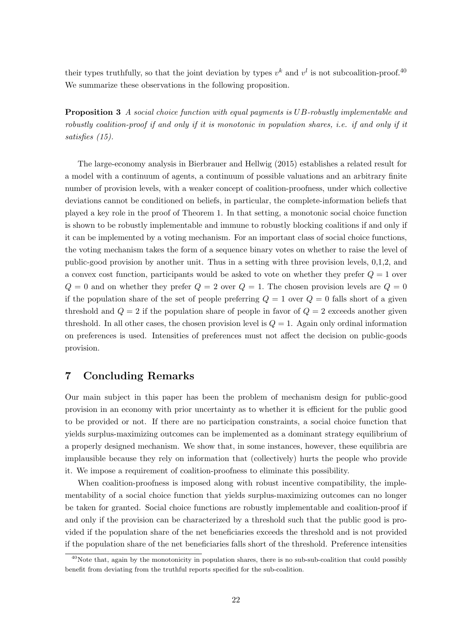their types truthfully, so that the joint deviation by types  $v^k$  and  $v^l$  is not subcoalition-proof.<sup>40</sup> We summarize these observations in the following proposition.

Proposition 3 A social choice function with equal payments is UB-robustly implementable and robustly coalition-proof if and only if it is monotonic in population shares, i.e. if and only if it satisfies (15).

The large-economy analysis in Bierbrauer and Hellwig (2015) establishes a related result for a model with a continuum of agents, a continuum of possible valuations and an arbitrary finite number of provision levels, with a weaker concept of coalition-proofness, under which collective deviations cannot be conditioned on beliefs, in particular, the complete-information beliefs that played a key role in the proof of Theorem 1. In that setting, a monotonic social choice function is shown to be robustly implementable and immune to robustly blocking coalitions if and only if it can be implemented by a voting mechanism. For an important class of social choice functions, the voting mechanism takes the form of a sequence binary votes on whether to raise the level of public-good provision by another unit. Thus in a setting with three provision levels, 0,1,2, and a convex cost function, participants would be asked to vote on whether they prefer  $Q = 1$  over  $Q = 0$  and on whether they prefer  $Q = 2$  over  $Q = 1$ . The chosen provision levels are  $Q = 0$ if the population share of the set of people preferring  $Q = 1$  over  $Q = 0$  falls short of a given threshold and  $Q = 2$  if the population share of people in favor of  $Q = 2$  exceeds another given threshold. In all other cases, the chosen provision level is  $Q = 1$ . Again only ordinal information on preferences is used. Intensities of preferences must not affect the decision on public-goods provision.

## 7 Concluding Remarks

Our main subject in this paper has been the problem of mechanism design for public-good provision in an economy with prior uncertainty as to whether it is efficient for the public good to be provided or not. If there are no participation constraints, a social choice function that yields surplus-maximizing outcomes can be implemented as a dominant strategy equilibrium of a properly designed mechanism. We show that, in some instances, however, these equilibria are implausible because they rely on information that (collectively) hurts the people who provide it. We impose a requirement of coalition-proofness to eliminate this possibility.

When coalition-proofness is imposed along with robust incentive compatibility, the implementability of a social choice function that yields surplus-maximizing outcomes can no longer be taken for granted. Social choice functions are robustly implementable and coalition-proof if and only if the provision can be characterized by a threshold such that the public good is provided if the population share of the net beneficiaries exceeds the threshold and is not provided if the population share of the net beneficiaries falls short of the threshold. Preference intensities

<sup>&</sup>lt;sup>40</sup>Note that, again by the monotonicity in population shares, there is no sub-sub-coalition that could possibly benefit from deviating from the truthful reports specified for the sub-coalition.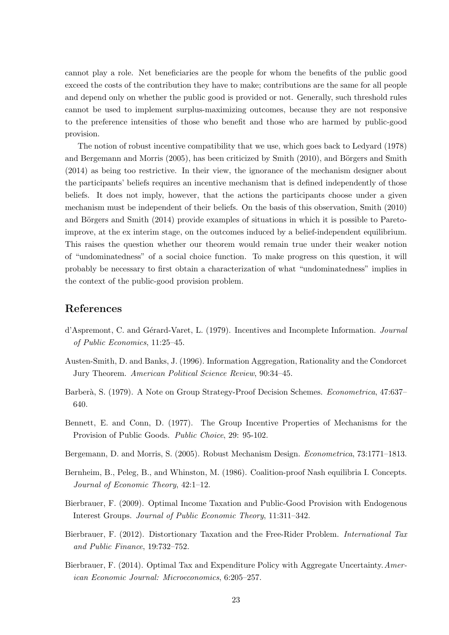cannot play a role. Net beneficiaries are the people for whom the benefits of the public good exceed the costs of the contribution they have to make; contributions are the same for all people and depend only on whether the public good is provided or not. Generally, such threshold rules cannot be used to implement surplus-maximizing outcomes, because they are not responsive to the preference intensities of those who benefit and those who are harmed by public-good provision.

The notion of robust incentive compatibility that we use, which goes back to Ledyard (1978) and Bergemann and Morris  $(2005)$ , has been criticized by Smith  $(2010)$ , and Börgers and Smith (2014) as being too restrictive. In their view, the ignorance of the mechanism designer about the participants' beliefs requires an incentive mechanism that is defined independently of those beliefs. It does not imply, however, that the actions the participants choose under a given mechanism must be independent of their beliefs. On the basis of this observation, Smith (2010) and Börgers and Smith  $(2014)$  provide examples of situations in which it is possible to Paretoimprove, at the ex interim stage, on the outcomes induced by a belief-independent equilibrium. This raises the question whether our theorem would remain true under their weaker notion of "undominatedness" of a social choice function. To make progress on this question, it will probably be necessary to first obtain a characterization of what "undominatedness" implies in the context of the public-good provision problem.

#### References

- d'Aspremont, C. and Gérard-Varet, L. (1979). Incentives and Incomplete Information. Journal of Public Economics, 11:25–45.
- Austen-Smith, D. and Banks, J. (1996). Information Aggregation, Rationality and the Condorcet Jury Theorem. American Political Science Review, 90:34–45.
- Barberà, S. (1979). A Note on Group Strategy-Proof Decision Schemes. Econometrica, 47:637– 640.
- Bennett, E. and Conn, D. (1977). The Group Incentive Properties of Mechanisms for the Provision of Public Goods. Public Choice, 29: 95-102.
- Bergemann, D. and Morris, S. (2005). Robust Mechanism Design. Econometrica, 73:1771–1813.
- Bernheim, B., Peleg, B., and Whinston, M. (1986). Coalition-proof Nash equilibria I. Concepts. Journal of Economic Theory, 42:1–12.
- Bierbrauer, F. (2009). Optimal Income Taxation and Public-Good Provision with Endogenous Interest Groups. Journal of Public Economic Theory, 11:311–342.
- Bierbrauer, F. (2012). Distortionary Taxation and the Free-Rider Problem. International Tax and Public Finance, 19:732–752.
- Bierbrauer, F. (2014). Optimal Tax and Expenditure Policy with Aggregate Uncertainty.American Economic Journal: Microeconomics, 6:205–257.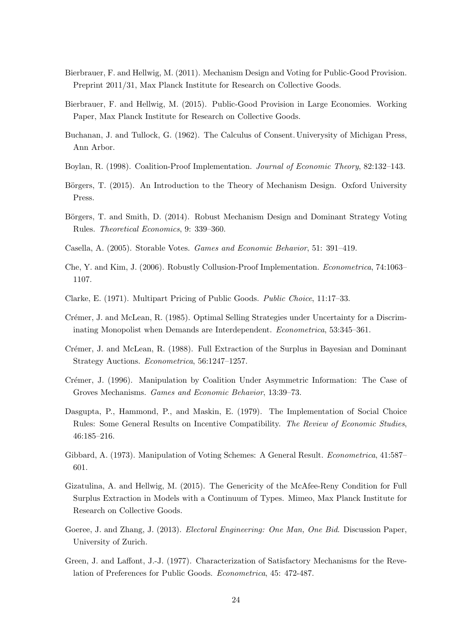- Bierbrauer, F. and Hellwig, M. (2011). Mechanism Design and Voting for Public-Good Provision. Preprint 2011/31, Max Planck Institute for Research on Collective Goods.
- Bierbrauer, F. and Hellwig, M. (2015). Public-Good Provision in Large Economies. Working Paper, Max Planck Institute for Research on Collective Goods.
- Buchanan, J. and Tullock, G. (1962). The Calculus of Consent. Univerysity of Michigan Press, Ann Arbor.
- Boylan, R. (1998). Coalition-Proof Implementation. Journal of Economic Theory, 82:132–143.
- Börgers, T. (2015). An Introduction to the Theory of Mechanism Design. Oxford University Press.
- Börgers, T. and Smith, D. (2014). Robust Mechanism Design and Dominant Strategy Voting Rules. Theoretical Economics, 9: 339–360.
- Casella, A. (2005). Storable Votes. Games and Economic Behavior, 51: 391–419.
- Che, Y. and Kim, J. (2006). Robustly Collusion-Proof Implementation. Econometrica, 74:1063– 1107.
- Clarke, E. (1971). Multipart Pricing of Public Goods. Public Choice, 11:17–33.
- Crémer, J. and McLean, R. (1985). Optimal Selling Strategies under Uncertainty for a Discriminating Monopolist when Demands are Interdependent. Econometrica, 53:345–361.
- Crémer, J. and McLean, R. (1988). Full Extraction of the Surplus in Bayesian and Dominant Strategy Auctions. Econometrica, 56:1247–1257.
- Crémer, J. (1996). Manipulation by Coalition Under Asymmetric Information: The Case of Groves Mechanisms. Games and Economic Behavior, 13:39–73.
- Dasgupta, P., Hammond, P., and Maskin, E. (1979). The Implementation of Social Choice Rules: Some General Results on Incentive Compatibility. The Review of Economic Studies, 46:185–216.
- Gibbard, A. (1973). Manipulation of Voting Schemes: A General Result. Econometrica, 41:587– 601.
- Gizatulina, A. and Hellwig, M. (2015). The Genericity of the McAfee-Reny Condition for Full Surplus Extraction in Models with a Continuum of Types. Mimeo, Max Planck Institute for Research on Collective Goods.
- Goeree, J. and Zhang, J. (2013). *Electoral Engineering: One Man, One Bid.* Discussion Paper, University of Zurich.
- Green, J. and Laffont, J.-J. (1977). Characterization of Satisfactory Mechanisms for the Revelation of Preferences for Public Goods. Econometrica, 45: 472-487.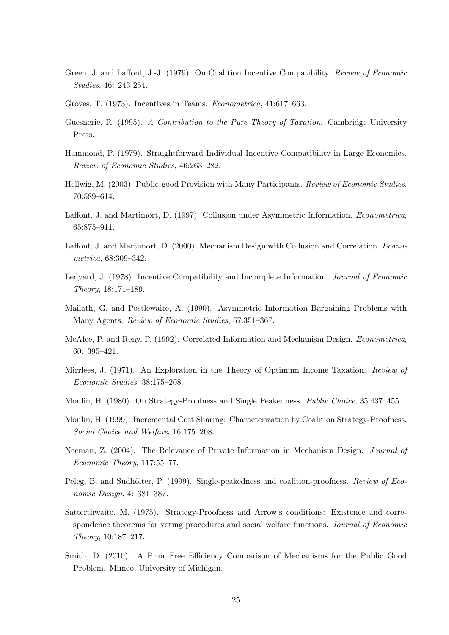- Green, J. and Laffont, J.-J. (1979). On Coalition Incentive Compatibility. Review of Economic Studies, 46: 243-254.
- Groves, T. (1973). Incentives in Teams. Econometrica, 41:617–663.
- Guesnerie, R. (1995). A Contribution to the Pure Theory of Taxation. Cambridge University Press.
- Hammond, P. (1979). Straightforward Individual Incentive Compatibility in Large Economies. Review of Economic Studies, 46:263–282.
- Hellwig, M. (2003). Public-good Provision with Many Participants. Review of Economic Studies, 70:589–614.
- Laffont, J. and Martimort, D. (1997). Collusion under Asymmetric Information. Econometrica, 65:875–911.
- Laffont, J. and Martimort, D. (2000). Mechanism Design with Collusion and Correlation. Econometrica, 68:309–342.
- Ledyard, J. (1978). Incentive Compatibility and Incomplete Information. Journal of Economic Theory, 18:171–189.
- Mailath, G. and Postlewaite, A. (1990). Asymmetric Information Bargaining Problems with Many Agents. Review of Economic Studies, 57:351–367.
- McAfee, P. and Reny, P. (1992). Correlated Information and Mechanism Design. Econometrica, 60: 395–421.
- Mirrlees, J. (1971). An Exploration in the Theory of Optimum Income Taxation. Review of Economic Studies, 38:175–208.
- Moulin, H. (1980). On Strategy-Proofness and Single Peakedness. Public Choice, 35:437–455.
- Moulin, H. (1999). Incremental Cost Sharing: Characterization by Coalition Strategy-Proofness. Social Choice and Welfare, 16:175–208.
- Neeman, Z. (2004). The Relevance of Private Information in Mechanism Design. Journal of Economic Theory, 117:55–77.
- Peleg, B. and Sudhölter, P. (1999). Single-peakedness and coalition-proofness. Review of Economic Design, 4: 381–387.
- Satterthwaite, M. (1975). Strategy-Proofness and Arrow's conditions: Existence and correspondence theorems for voting procedures and social welfare functions. Journal of Economic Theory, 10:187–217.
- Smith, D. (2010). A Prior Free Efficiency Comparison of Mechanisms for the Public Good Problem. Mimeo, University of Michigan.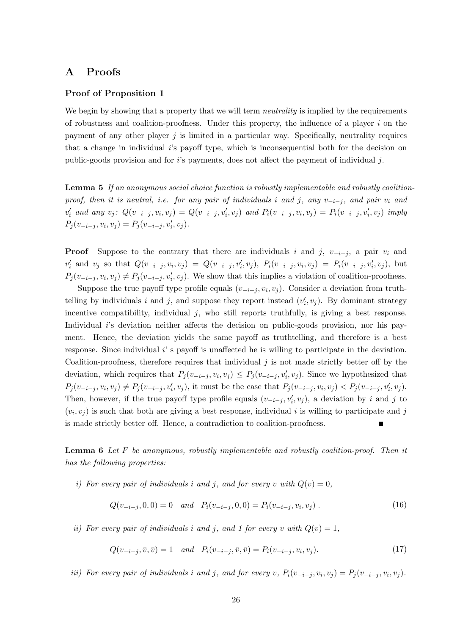## A Proofs

#### Proof of Proposition 1

We begin by showing that a property that we will term *neutrality* is implied by the requirements of robustness and coalition-proofness. Under this property, the influence of a player  $i$  on the payment of any other player  $j$  is limited in a particular way. Specifically, neutrality requires that a change in individual  $i$ 's payoff type, which is inconsequential both for the decision on public-goods provision and for  $i$ 's payments, does not affect the payment of individual j.

Lemma 5 If an anonymous social choice function is robustly implementable and robustly coalitionproof, then it is neutral, i.e. for any pair of individuals i and j, any  $v_{-i-j}$ , and pair  $v_i$  and  $v'_i$  and any  $v_j$ :  $Q(v_{-i-j}, v_i, v_j) = Q(v_{-i-j}, v'_i, v_j)$  and  $P_i(v_{-i-j}, v_i, v_j) = P_i(v_{-i-j}, v'_i, v_j)$  imply  $P_j(v_{-i-j}, v_i, v_j) = P_j(v_{-i-j}, v'_i, v_j).$ 

**Proof** Suppose to the contrary that there are individuals i and j,  $v_{-i-j}$ , a pair  $v_i$  and  $v'_i$  and  $v_j$  so that  $Q(v_{-i-j}, v_i, v_j) = Q(v_{-i-j}, v'_i, v_j)$ ,  $P_i(v_{-i-j}, v_i, v_j) = P_i(v_{-i-j}, v'_i, v_j)$ , but  $P_j(v_{-i-j}, v_i, v_j) \neq P_j(v_{-i-j}, v'_i, v_j)$ . We show that this implies a violation of coalition-proofness.

Suppose the true payoff type profile equals  $(v_{-i-j}, v_i, v_j)$ . Consider a deviation from truthtelling by individuals i and j, and suppose they report instead  $(v'_i, v_j)$ . By dominant strategy incentive compatibility, individual j, who still reports truthfully, is giving a best response. Individual i's deviation neither affects the decision on public-goods provision, nor his payment. Hence, the deviation yields the same payoff as truthtelling, and therefore is a best response. Since individual i's payoff is unaffected he is willing to participate in the deviation. Coalition-proofness, therefore requires that individual  $j$  is not made strictly better off by the deviation, which requires that  $P_j(v_{-i-j}, v_i, v_j) \leq P_j(v_{-i-j}, v_i', v_j)$ . Since we hypothesized that  $P_j(v_{-i-j}, v_i, v_j) \neq P_j(v_{-i-j}, v'_i, v_j)$ , it must be the case that  $P_j(v_{-i-j}, v_i, v_j) < P_j(v_{-i-j}, v'_i, v_j)$ . Then, however, if the true payoff type profile equals  $(v_{-i-j}, v'_i, v_j)$ , a deviation by i and j to  $(v_i, v_j)$  is such that both are giving a best response, individual i is willing to participate and j is made strictly better off. Hence, a contradiction to coalition-proofness.

Lemma 6 Let F be anonymous, robustly implementable and robustly coalition-proof. Then it has the following properties:

i) For every pair of individuals i and j, and for every v with  $Q(v) = 0$ ,

$$
Q(v_{-i-j}, 0, 0) = 0 \quad and \quad P_i(v_{-i-j}, 0, 0) = P_i(v_{-i-j}, v_i, v_j) \tag{16}
$$

ii) For every pair of individuals i and j, and 1 for every v with  $Q(v) = 1$ ,

$$
Q(v_{-i-j}, \bar{v}, \bar{v}) = 1 \quad and \quad P_i(v_{-i-j}, \bar{v}, \bar{v}) = P_i(v_{-i-j}, v_i, v_j). \tag{17}
$$

iii) For every pair of individuals i and j, and for every v,  $P_i(v_{-i-j}, v_i, v_j) = P_j(v_{-i-j}, v_i, v_j)$ .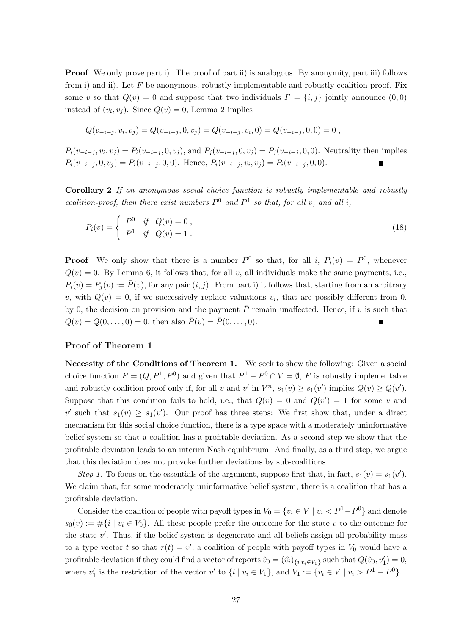**Proof** We only prove part i). The proof of part ii) is analogous. By anonymity, part iii) follows from i) and ii). Let  $F$  be anonymous, robustly implementable and robustly coalition-proof. Fix some v so that  $Q(v) = 0$  and suppose that two individuals  $I' = \{i, j\}$  jointly announce  $(0, 0)$ instead of  $(v_i, v_j)$ . Since  $Q(v) = 0$ , Lemma 2 implies

$$
Q(v_{-i-j}, v_i, v_j) = Q(v_{-i-j}, 0, v_j) = Q(v_{-i-j}, v_i, 0) = Q(v_{-i-j}, 0, 0) = 0,
$$

 $P_i(v_{-i-j}, v_i, v_j) = P_i(v_{-i-j}, 0, v_j)$ , and  $P_j(v_{-i-j}, 0, v_j) = P_j(v_{-i-j}, 0, 0)$ . Neutrality then implies  $P_i(v_{-i-j}, 0, v_j) = P_i(v_{-i-j}, 0, 0)$ . Hence,  $P_i(v_{-i-j}, v_i, v_j) = P_i(v_{-i-j}, 0, 0)$ .

Corollary 2 If an anonymous social choice function is robustly implementable and robustly coalition-proof, then there exist numbers  $P^0$  and  $P^1$  so that, for all v, and all i,

$$
P_i(v) = \begin{cases} P^0 & \text{if } Q(v) = 0, \\ P^1 & \text{if } Q(v) = 1. \end{cases}
$$
 (18)

**Proof** We only show that there is a number  $P^0$  so that, for all i,  $P_i(v) = P^0$ , whenever  $Q(v) = 0$ . By Lemma 6, it follows that, for all v, all individuals make the same payments, i.e.,  $P_i(v) = P_i(v) := \overline{P}(v)$ , for any pair  $(i, j)$ . From part i) it follows that, starting from an arbitrary v, with  $Q(v) = 0$ , if we successively replace valuations  $v_i$ , that are possibly different from 0, by 0, the decision on provision and the payment  $\overline{P}$  remain unaffected. Hence, if v is such that  $Q(v) = Q(0, \ldots, 0) = 0$ , then also  $\bar{P}(v) = \bar{P}(0, \ldots, 0)$ .

#### Proof of Theorem 1

Necessity of the Conditions of Theorem 1. We seek to show the following: Given a social choice function  $F = (Q, P^1, P^0)$  and given that  $P^1 - P^0 \cap V = \emptyset$ , F is robustly implementable and robustly coalition-proof only if, for all v and v' in  $V^n$ ,  $s_1(v) \geq s_1(v')$  implies  $Q(v) \geq Q(v')$ . Suppose that this condition fails to hold, i.e., that  $Q(v) = 0$  and  $Q(v') = 1$  for some v and v' such that  $s_1(v) \geq s_1(v')$ . Our proof has three steps: We first show that, under a direct mechanism for this social choice function, there is a type space with a moderately uninformative belief system so that a coalition has a profitable deviation. As a second step we show that the profitable deviation leads to an interim Nash equilibrium. And finally, as a third step, we argue that this deviation does not provoke further deviations by sub-coalitions.

Step 1. To focus on the essentials of the argument, suppose first that, in fact,  $s_1(v) = s_1(v')$ . We claim that, for some moderately uninformative belief system, there is a coalition that has a profitable deviation.

Consider the coalition of people with payoff types in  $V_0 = \{v_i \in V \mid v_i < P^1 - P^0\}$  and denote  $s_0(v) := \#\{i \mid v_i \in V_0\}.$  All these people prefer the outcome for the state v to the outcome for the state  $v'$ . Thus, if the belief system is degenerate and all beliefs assign all probability mass to a type vector t so that  $\tau(t) = v'$ , a coalition of people with payoff types in  $V_0$  would have a profitable deviation if they could find a vector of reports  $\hat{v}_0 = (\hat{v}_i)_{\{i\mid v_i \in V_0\}}$  such that  $Q(\hat{v}_0, v'_1) = 0$ , where  $v'_1$  is the restriction of the vector  $v'$  to  $\{i \mid v_i \in V_1\}$ , and  $V_1 := \{v_i \in V \mid v_i > P^1 - P^0\}$ .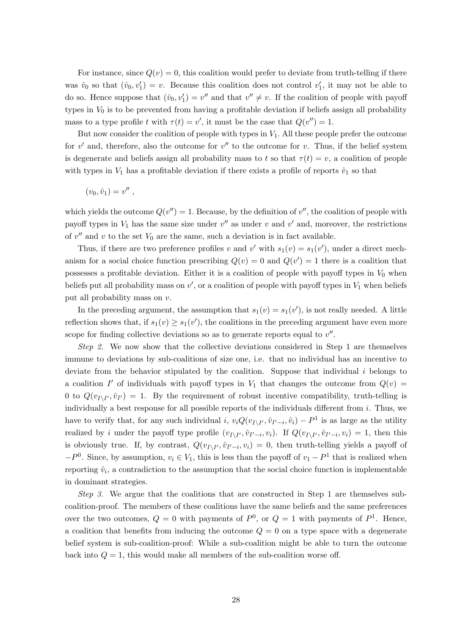For instance, since  $Q(v) = 0$ , this coalition would prefer to deviate from truth-telling if there was  $\hat{v}_0$  so that  $(\hat{v}_0, v'_1) = v$ . Because this coalition does not control  $v'_1$ , it may not be able to do so. Hence suppose that  $(\hat{v}_0, v'_1) = v''$  and that  $v'' \neq v$ . If the coalition of people with payoff types in  $V_0$  is to be prevented from having a profitable deviation if beliefs assign all probability mass to a type profile t with  $\tau(t) = v'$ , it must be the case that  $Q(v'') = 1$ .

But now consider the coalition of people with types in  $V_1$ . All these people prefer the outcome for  $v'$  and, therefore, also the outcome for  $v''$  to the outcome for v. Thus, if the belief system is degenerate and beliefs assign all probability mass to t so that  $\tau(t) = v$ , a coalition of people with types in  $V_1$  has a profitable deviation if there exists a profile of reports  $\hat{v}_1$  so that

$$
(v_0,\hat{v}_1)=v''\ ,
$$

which yields the outcome  $Q(v'') = 1$ . Because, by the definition of v'', the coalition of people with payoff types in  $V_1$  has the same size under  $v''$  as under v and  $v'$  and, moreover, the restrictions of  $v''$  and v to the set  $V_0$  are the same, such a deviation is in fact available.

Thus, if there are two preference profiles v and v' with  $s_1(v) = s_1(v')$ , under a direct mechanism for a social choice function prescribing  $Q(v) = 0$  and  $Q(v') = 1$  there is a coalition that possesses a profitable deviation. Either it is a coalition of people with payoff types in  $V_0$  when beliefs put all probability mass on  $v'$ , or a coalition of people with payoff types in  $V_1$  when beliefs put all probability mass on v.

In the preceding argument, the assumption that  $s_1(v) = s_1(v')$ , is not really needed. A little reflection shows that, if  $s_1(v) \geq s_1(v')$ , the coalitions in the preceding argument have even more scope for finding collective deviations so as to generate reports equal to  $v''$ .

Step 2. We now show that the collective deviations considered in Step 1 are themselves immune to deviations by sub-coalitions of size one, i.e. that no individual has an incentive to deviate from the behavior stipulated by the coalition. Suppose that individual  $i$  belongs to a coalition I' of individuals with payoff types in  $V_1$  that changes the outcome from  $Q(v)$ 0 to  $Q(v_{I\setminus I'}, \hat{v}_{I'}) = 1$ . By the requirement of robust incentive compatibility, truth-telling is individually a best response for all possible reports of the individuals different from  $i$ . Thus, we have to verify that, for any such individual i,  $v_i Q(v_{I\setminus I'}, \hat{v}_{I'-i}, \hat{v}_i) - P^1$  is as large as the utility realized by i under the payoff type profile  $(v_{I\setminus I'}, \hat{v}_{I'-i}, v_i)$ . If  $Q(v_{I\setminus I'}, \hat{v}_{I'-i}, v_i) = 1$ , then this is obviously true. If, by contrast,  $Q(v_{I\setminus I'}, \hat{v}_{I'-i}, v_i) = 0$ , then truth-telling yields a payoff of  $-P<sup>0</sup>$ . Since, by assumption,  $v_i \in V_1$ , this is less than the payoff of  $v_1 - P<sup>1</sup>$  that is realized when reporting  $\hat{v}_i$ , a contradiction to the assumption that the social choice function is implementable in dominant strategies.

Step 3. We argue that the coalitions that are constructed in Step 1 are themselves subcoalition-proof. The members of these coalitions have the same beliefs and the same preferences over the two outcomes,  $Q = 0$  with payments of  $P^0$ , or  $Q = 1$  with payments of  $P^1$ . Hence, a coalition that benefits from inducing the outcome  $Q = 0$  on a type space with a degenerate belief system is sub-coalition-proof: While a sub-coalition might be able to turn the outcome back into  $Q = 1$ , this would make all members of the sub-coalition worse off.